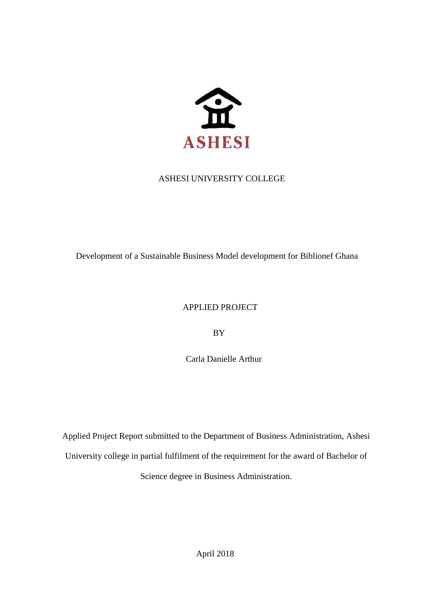

# ASHESI UNIVERSITY COLLEGE

Development of a Sustainable Business Model development for Biblionef Ghana

# APPLIED PROJECT

BY

Carla Danielle Arthur

Applied Project Report submitted to the Department of Business Administration, Ashesi University college in partial fulfilment of the requirement for the award of Bachelor of Science degree in Business Administration.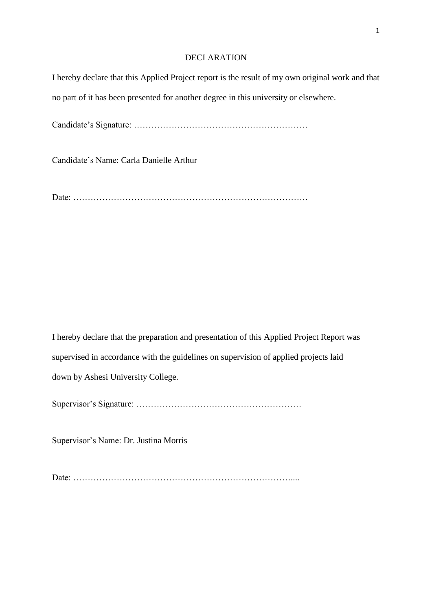#### DECLARATION

I hereby declare that this Applied Project report is the result of my own original work and that no part of it has been presented for another degree in this university or elsewhere.

Candidate's Signature: ……………………………………………………

Candidate's Name: Carla Danielle Arthur

Date: ………………………………………………………………………

I hereby declare that the preparation and presentation of this Applied Project Report was supervised in accordance with the guidelines on supervision of applied projects laid down by Ashesi University College.

Supervisor's Signature: …………………………………………………

Supervisor's Name: Dr. Justina Morris

Date: …………………………………………………………………....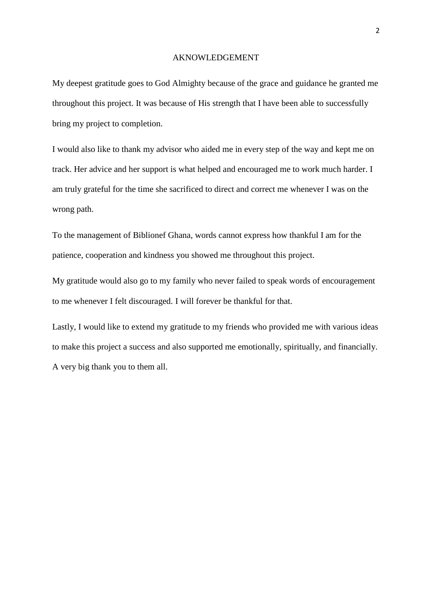#### AKNOWLEDGEMENT

My deepest gratitude goes to God Almighty because of the grace and guidance he granted me throughout this project. It was because of His strength that I have been able to successfully bring my project to completion.

I would also like to thank my advisor who aided me in every step of the way and kept me on track. Her advice and her support is what helped and encouraged me to work much harder. I am truly grateful for the time she sacrificed to direct and correct me whenever I was on the wrong path.

To the management of Biblionef Ghana, words cannot express how thankful I am for the patience, cooperation and kindness you showed me throughout this project.

My gratitude would also go to my family who never failed to speak words of encouragement to me whenever I felt discouraged. I will forever be thankful for that.

Lastly, I would like to extend my gratitude to my friends who provided me with various ideas to make this project a success and also supported me emotionally, spiritually, and financially. A very big thank you to them all.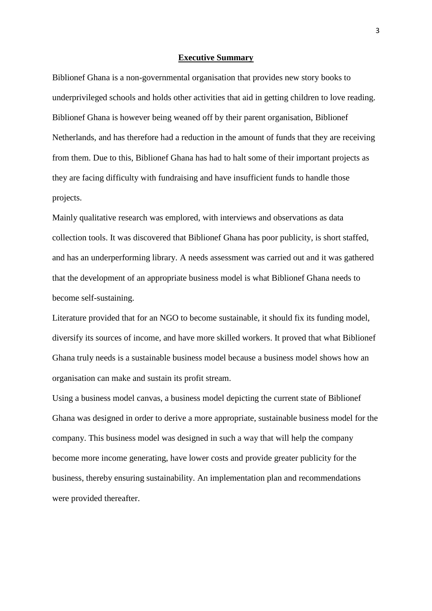#### **Executive Summary**

Biblionef Ghana is a non-governmental organisation that provides new story books to underprivileged schools and holds other activities that aid in getting children to love reading. Biblionef Ghana is however being weaned off by their parent organisation, Biblionef Netherlands, and has therefore had a reduction in the amount of funds that they are receiving from them. Due to this, Biblionef Ghana has had to halt some of their important projects as they are facing difficulty with fundraising and have insufficient funds to handle those projects.

Mainly qualitative research was emplored, with interviews and observations as data collection tools. It was discovered that Biblionef Ghana has poor publicity, is short staffed, and has an underperforming library. A needs assessment was carried out and it was gathered that the development of an appropriate business model is what Biblionef Ghana needs to become self-sustaining.

Literature provided that for an NGO to become sustainable, it should fix its funding model, diversify its sources of income, and have more skilled workers. It proved that what Biblionef Ghana truly needs is a sustainable business model because a business model shows how an organisation can make and sustain its profit stream.

Using a business model canvas, a business model depicting the current state of Biblionef Ghana was designed in order to derive a more appropriate, sustainable business model for the company. This business model was designed in such a way that will help the company become more income generating, have lower costs and provide greater publicity for the business, thereby ensuring sustainability. An implementation plan and recommendations were provided thereafter.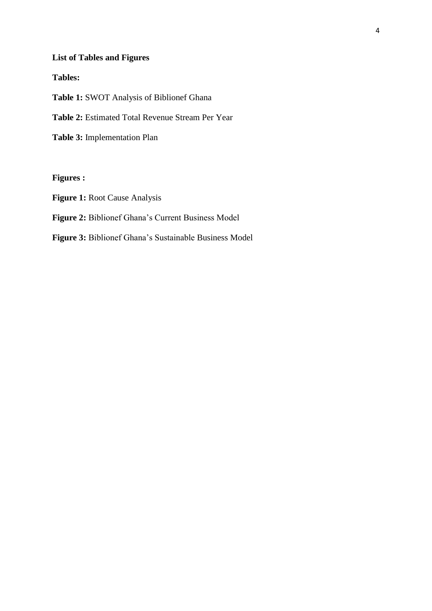# **List of Tables and Figures**

# **Tables:**

**Table 1:** SWOT Analysis of Biblionef Ghana

**Table 2:** Estimated Total Revenue Stream Per Year

**Table 3:** Implementation Plan

### **Figures :**

**Figure 1:** Root Cause Analysis

**Figure 2:** Biblionef Ghana's Current Business Model

**Figure 3:** Biblionef Ghana's Sustainable Business Model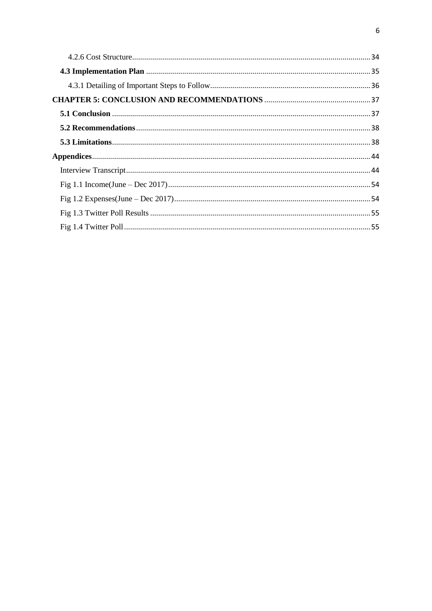<span id="page-6-0"></span>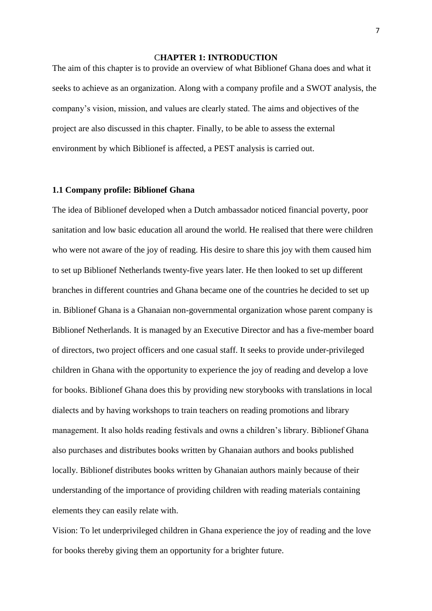#### C**HAPTER 1: INTRODUCTION**

The aim of this chapter is to provide an overview of what Biblionef Ghana does and what it seeks to achieve as an organization. Along with a company profile and a SWOT analysis, the company's vision, mission, and values are clearly stated. The aims and objectives of the project are also discussed in this chapter. Finally, to be able to assess the external environment by which Biblionef is affected, a PEST analysis is carried out.

#### <span id="page-7-0"></span>**1.1 Company profile: Biblionef Ghana**

The idea of Biblionef developed when a Dutch ambassador noticed financial poverty, poor sanitation and low basic education all around the world. He realised that there were children who were not aware of the joy of reading. His desire to share this joy with them caused him to set up Biblionef Netherlands twenty-five years later. He then looked to set up different branches in different countries and Ghana became one of the countries he decided to set up in. Biblionef Ghana is a Ghanaian non-governmental organization whose parent company is Biblionef Netherlands. It is managed by an Executive Director and has a five-member board of directors, two project officers and one casual staff. It seeks to provide under-privileged children in Ghana with the opportunity to experience the joy of reading and develop a love for books. Biblionef Ghana does this by providing new storybooks with translations in local dialects and by having workshops to train teachers on reading promotions and library management. It also holds reading festivals and owns a children's library. Biblionef Ghana also purchases and distributes books written by Ghanaian authors and books published locally. Biblionef distributes books written by Ghanaian authors mainly because of their understanding of the importance of providing children with reading materials containing elements they can easily relate with.

Vision: To let underprivileged children in Ghana experience the joy of reading and the love for books thereby giving them an opportunity for a brighter future.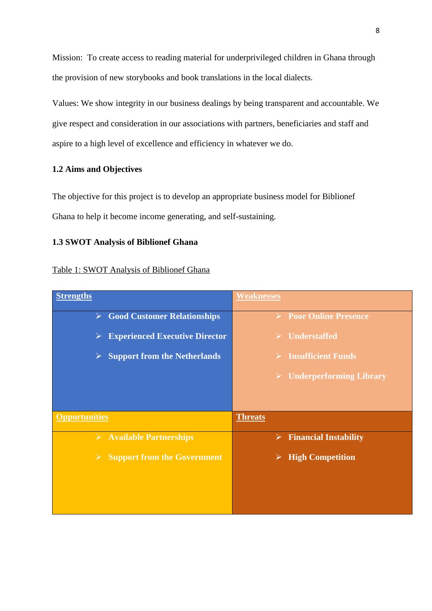Mission: To create access to reading material for underprivileged children in Ghana through the provision of new storybooks and book translations in the local dialects.

Values: We show integrity in our business dealings by being transparent and accountable. We give respect and consideration in our associations with partners, beneficiaries and staff and aspire to a high level of excellence and efficiency in whatever we do.

#### <span id="page-8-0"></span>**1.2 Aims and Objectives**

The objective for this project is to develop an appropriate business model for Biblionef Ghana to help it become income generating, and self-sustaining.

#### <span id="page-8-1"></span>**1.3 SWOT Analysis of Biblionef Ghana**

#### Table 1: SWOT Analysis of Biblionef Ghana

| <b>Strengths</b>                                             | <b>Weaknesses</b>                                  |
|--------------------------------------------------------------|----------------------------------------------------|
| $\triangleright$ Good Customer Relationships                 | <b>Poor Online Presence</b>                        |
| <b>Experienced Executive Director</b><br>➤                   | <b>Understaffed</b>                                |
| <b>Support from the Netherlands</b><br>$\blacktriangleright$ | $\triangleright$ Insufficient Funds                |
|                                                              | <b>Underperforming Library</b><br>$\triangleright$ |
|                                                              |                                                    |
| <b>Opportunities</b>                                         | <b>Threats</b>                                     |
| $\triangleright$ Available Partnerships                      | <b>Financial Instability</b><br>➤                  |
| $\triangleright$ Support from the Government                 | <b>High Competition</b><br>➤                       |
|                                                              |                                                    |
|                                                              |                                                    |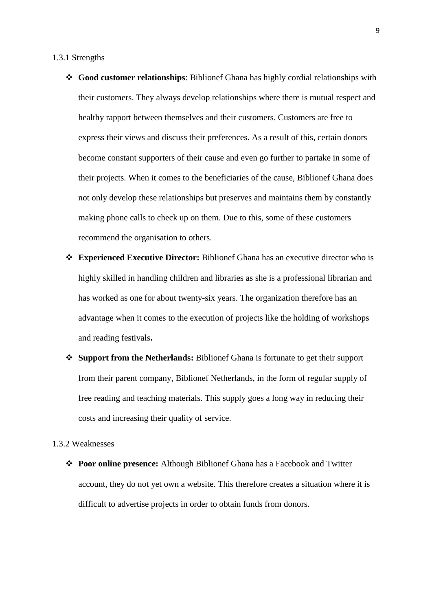#### <span id="page-9-0"></span>1.3.1 Strengths

- ❖ **Good customer relationships**: Biblionef Ghana has highly cordial relationships with their customers. They always develop relationships where there is mutual respect and healthy rapport between themselves and their customers. Customers are free to express their views and discuss their preferences. As a result of this, certain donors become constant supporters of their cause and even go further to partake in some of their projects. When it comes to the beneficiaries of the cause, Biblionef Ghana does not only develop these relationships but preserves and maintains them by constantly making phone calls to check up on them. Due to this, some of these customers recommend the organisation to others.
- ❖ **Experienced Executive Director:** Biblionef Ghana has an executive director who is highly skilled in handling children and libraries as she is a professional librarian and has worked as one for about twenty-six years. The organization therefore has an advantage when it comes to the execution of projects like the holding of workshops and reading festivals**.**
- ❖ **Support from the Netherlands:** Biblionef Ghana is fortunate to get their support from their parent company, Biblionef Netherlands, in the form of regular supply of free reading and teaching materials. This supply goes a long way in reducing their costs and increasing their quality of service.

#### <span id="page-9-1"></span>1.3.2 Weaknesses

❖ **Poor online presence:** Although Biblionef Ghana has a Facebook and Twitter account, they do not yet own a website. This therefore creates a situation where it is difficult to advertise projects in order to obtain funds from donors.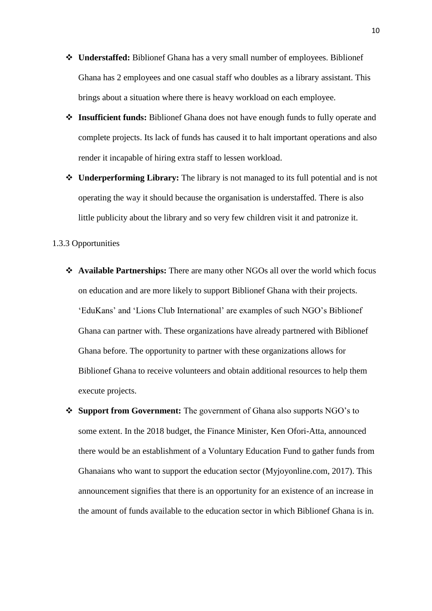- ❖ **Understaffed:** Biblionef Ghana has a very small number of employees. Biblionef Ghana has 2 employees and one casual staff who doubles as a library assistant. This brings about a situation where there is heavy workload on each employee.
- ❖ **Insufficient funds:** Biblionef Ghana does not have enough funds to fully operate and complete projects. Its lack of funds has caused it to halt important operations and also render it incapable of hiring extra staff to lessen workload.
- ❖ **Underperforming Library:** The library is not managed to its full potential and is not operating the way it should because the organisation is understaffed. There is also little publicity about the library and so very few children visit it and patronize it.

#### <span id="page-10-0"></span>1.3.3 Opportunities

- ❖ **Available Partnerships:** There are many other NGOs all over the world which focus on education and are more likely to support Biblionef Ghana with their projects. 'EduKans' and 'Lions Club International' are examples of such NGO's Biblionef Ghana can partner with. These organizations have already partnered with Biblionef Ghana before. The opportunity to partner with these organizations allows for Biblionef Ghana to receive volunteers and obtain additional resources to help them execute projects.
- ❖ **Support from Government:** The government of Ghana also supports NGO's to some extent. In the 2018 budget, the Finance Minister, Ken Ofori-Atta, announced there would be an establishment of a Voluntary Education Fund to gather funds from Ghanaians who want to support the education sector (Myjoyonline.com, 2017). This announcement signifies that there is an opportunity for an existence of an increase in the amount of funds available to the education sector in which Biblionef Ghana is in.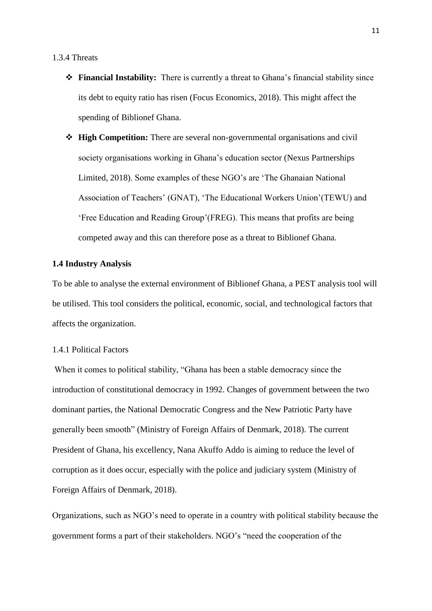#### <span id="page-11-0"></span>1.3.4 Threats

- ❖ **Financial Instability:** There is currently a threat to Ghana's financial stability since its debt to equity ratio has risen (Focus Economics, 2018). This might affect the spending of Biblionef Ghana.
- ❖ **High Competition:** There are several non-governmental organisations and civil society organisations working in Ghana's education sector (Nexus Partnerships Limited, 2018). Some examples of these NGO's are 'The Ghanaian National Association of Teachers' (GNAT), 'The Educational Workers Union'(TEWU) and 'Free Education and Reading Group'(FREG). This means that profits are being competed away and this can therefore pose as a threat to Biblionef Ghana.

#### <span id="page-11-1"></span>**1.4 Industry Analysis**

To be able to analyse the external environment of Biblionef Ghana, a PEST analysis tool will be utilised. This tool considers the political, economic, social, and technological factors that affects the organization.

#### <span id="page-11-2"></span>1.4.1 Political Factors

When it comes to political stability, "Ghana has been a stable democracy since the introduction of constitutional democracy in 1992. Changes of government between the two dominant parties, the National Democratic Congress and the New Patriotic Party have generally been smooth" (Ministry of Foreign Affairs of Denmark, 2018). The current President of Ghana, his excellency, Nana Akuffo Addo is aiming to reduce the level of corruption as it does occur, especially with the police and judiciary system (Ministry of Foreign Affairs of Denmark, 2018).

Organizations, such as NGO's need to operate in a country with political stability because the government forms a part of their stakeholders. NGO's "need the cooperation of the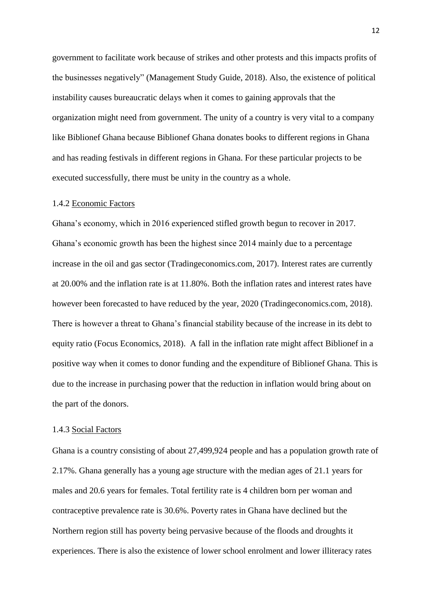government to facilitate work because of strikes and other protests and this impacts profits of the businesses negatively" (Management Study Guide, 2018). Also, the existence of political instability causes bureaucratic delays when it comes to gaining approvals that the organization might need from government. The unity of a country is very vital to a company like Biblionef Ghana because Biblionef Ghana donates books to different regions in Ghana and has reading festivals in different regions in Ghana. For these particular projects to be executed successfully, there must be unity in the country as a whole.

#### <span id="page-12-0"></span>1.4.2 Economic Factors

Ghana's economy, which in 2016 experienced stifled growth begun to recover in 2017. Ghana's economic growth has been the highest since 2014 mainly due to a percentage increase in the oil and gas sector (Tradingeconomics.com, 2017). Interest rates are currently at 20.00% and the inflation rate is at 11.80%. Both the inflation rates and interest rates have however been forecasted to have reduced by the year, 2020 (Tradingeconomics.com, 2018). There is however a threat to Ghana's financial stability because of the increase in its debt to equity ratio (Focus Economics, 2018). A fall in the inflation rate might affect Biblionef in a positive way when it comes to donor funding and the expenditure of Biblionef Ghana. This is due to the increase in purchasing power that the reduction in inflation would bring about on the part of the donors.

#### <span id="page-12-1"></span>1.4.3 Social Factors

Ghana is a country consisting of about 27,499,924 people and has a population growth rate of 2.17%. Ghana generally has a young age structure with the median ages of 21.1 years for males and 20.6 years for females. Total fertility rate is 4 children born per woman and contraceptive prevalence rate is 30.6%. Poverty rates in Ghana have declined but the Northern region still has poverty being pervasive because of the floods and droughts it experiences. There is also the existence of lower school enrolment and lower illiteracy rates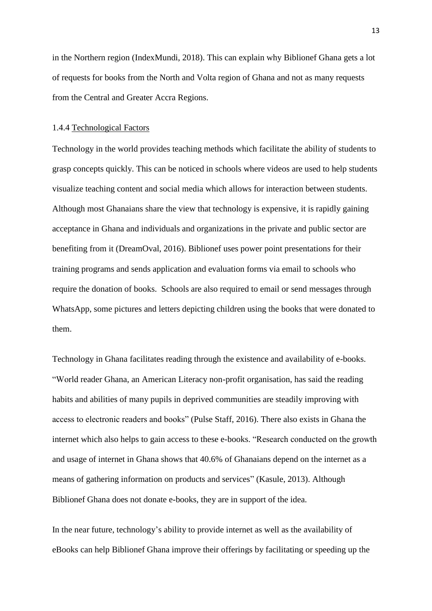in the Northern region (IndexMundi, 2018). This can explain why Biblionef Ghana gets a lot of requests for books from the North and Volta region of Ghana and not as many requests from the Central and Greater Accra Regions.

#### <span id="page-13-0"></span>1.4.4 Technological Factors

Technology in the world provides teaching methods which facilitate the ability of students to grasp concepts quickly. This can be noticed in schools where videos are used to help students visualize teaching content and social media which allows for interaction between students. Although most Ghanaians share the view that technology is expensive, it is rapidly gaining acceptance in Ghana and individuals and organizations in the private and public sector are benefiting from it (DreamOval, 2016). Biblionef uses power point presentations for their training programs and sends application and evaluation forms via email to schools who require the donation of books. Schools are also required to email or send messages through WhatsApp, some pictures and letters depicting children using the books that were donated to them.

Technology in Ghana facilitates reading through the existence and availability of e-books. "World reader Ghana, an American Literacy non-profit organisation, has said the reading habits and abilities of many pupils in deprived communities are steadily improving with access to electronic readers and books" (Pulse Staff, 2016). There also exists in Ghana the internet which also helps to gain access to these e-books. "Research conducted on the growth and usage of internet in Ghana shows that 40.6% of Ghanaians depend on the internet as a means of gathering information on products and services" (Kasule, 2013). Although Biblionef Ghana does not donate e-books, they are in support of the idea.

In the near future, technology's ability to provide internet as well as the availability of eBooks can help Biblionef Ghana improve their offerings by facilitating or speeding up the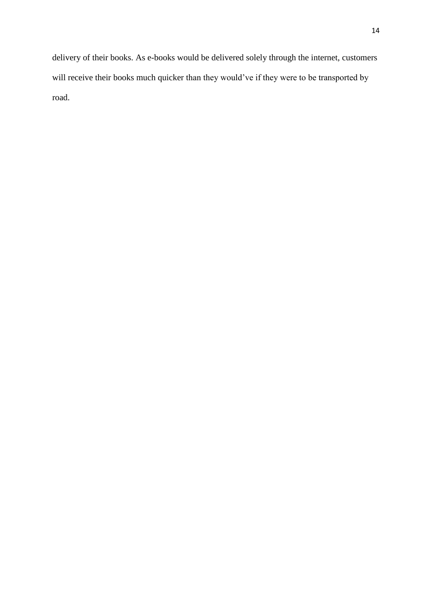delivery of their books. As e-books would be delivered solely through the internet, customers will receive their books much quicker than they would've if they were to be transported by road.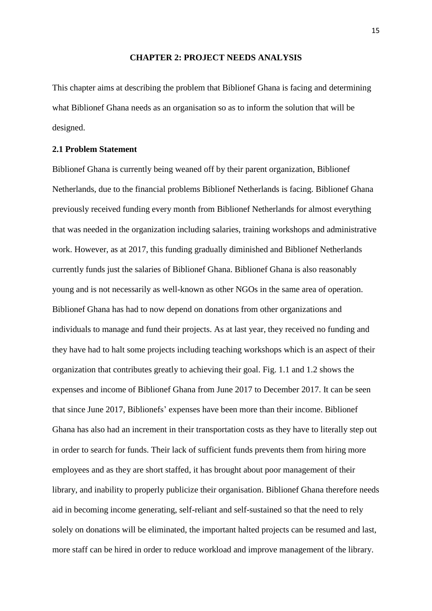#### **CHAPTER 2: PROJECT NEEDS ANALYSIS**

This chapter aims at describing the problem that Biblionef Ghana is facing and determining what Biblionef Ghana needs as an organisation so as to inform the solution that will be designed.

#### <span id="page-15-0"></span>**2.1 Problem Statement**

Biblionef Ghana is currently being weaned off by their parent organization, Biblionef Netherlands, due to the financial problems Biblionef Netherlands is facing. Biblionef Ghana previously received funding every month from Biblionef Netherlands for almost everything that was needed in the organization including salaries, training workshops and administrative work. However, as at 2017, this funding gradually diminished and Biblionef Netherlands currently funds just the salaries of Biblionef Ghana. Biblionef Ghana is also reasonably young and is not necessarily as well-known as other NGOs in the same area of operation. Biblionef Ghana has had to now depend on donations from other organizations and individuals to manage and fund their projects. As at last year, they received no funding and they have had to halt some projects including teaching workshops which is an aspect of their organization that contributes greatly to achieving their goal. Fig. 1.1 and 1.2 shows the expenses and income of Biblionef Ghana from June 2017 to December 2017. It can be seen that since June 2017, Biblionefs' expenses have been more than their income. Biblionef Ghana has also had an increment in their transportation costs as they have to literally step out in order to search for funds. Their lack of sufficient funds prevents them from hiring more employees and as they are short staffed, it has brought about poor management of their library, and inability to properly publicize their organisation. Biblionef Ghana therefore needs aid in becoming income generating, self-reliant and self-sustained so that the need to rely solely on donations will be eliminated, the important halted projects can be resumed and last, more staff can be hired in order to reduce workload and improve management of the library.

15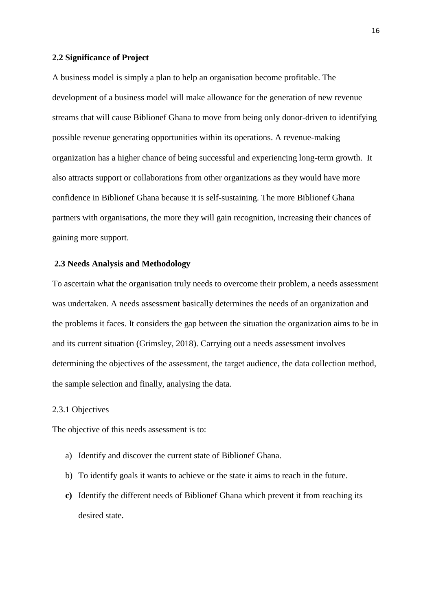#### <span id="page-16-0"></span>**2.2 Significance of Project**

A business model is simply a plan to help an organisation become profitable. The development of a business model will make allowance for the generation of new revenue streams that will cause Biblionef Ghana to move from being only donor-driven to identifying possible revenue generating opportunities within its operations. A revenue-making organization has a higher chance of being successful and experiencing long-term growth. It also attracts support or collaborations from other organizations as they would have more confidence in Biblionef Ghana because it is self-sustaining. The more Biblionef Ghana partners with organisations, the more they will gain recognition, increasing their chances of gaining more support.

#### <span id="page-16-1"></span>**2.3 Needs Analysis and Methodology**

To ascertain what the organisation truly needs to overcome their problem, a needs assessment was undertaken. A needs assessment basically determines the needs of an organization and the problems it faces. It considers the gap between the situation the organization aims to be in and its current situation (Grimsley, 2018). Carrying out a needs assessment involves determining the objectives of the assessment, the target audience, the data collection method, the sample selection and finally, analysing the data.

#### <span id="page-16-2"></span>2.3.1 Objectives

The objective of this needs assessment is to:

- a) Identify and discover the current state of Biblionef Ghana.
- b) To identify goals it wants to achieve or the state it aims to reach in the future.
- **c)** Identify the different needs of Biblionef Ghana which prevent it from reaching its desired state.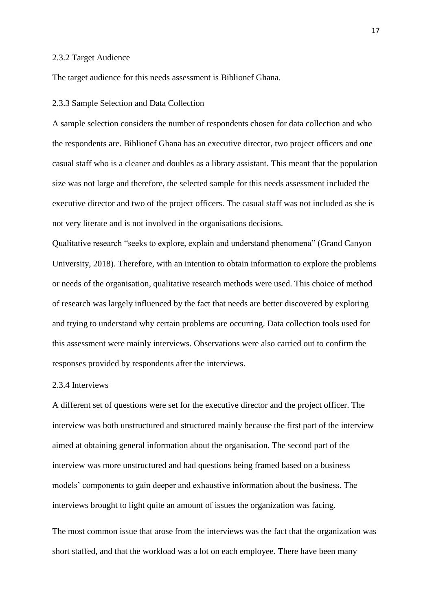#### <span id="page-17-0"></span>2.3.2 Target Audience

The target audience for this needs assessment is Biblionef Ghana.

#### <span id="page-17-1"></span>2.3.3 Sample Selection and Data Collection

A sample selection considers the number of respondents chosen for data collection and who the respondents are. Biblionef Ghana has an executive director, two project officers and one casual staff who is a cleaner and doubles as a library assistant. This meant that the population size was not large and therefore, the selected sample for this needs assessment included the executive director and two of the project officers. The casual staff was not included as she is not very literate and is not involved in the organisations decisions.

Qualitative research "seeks to explore, explain and understand phenomena" (Grand Canyon University, 2018). Therefore, with an intention to obtain information to explore the problems or needs of the organisation, qualitative research methods were used. This choice of method of research was largely influenced by the fact that needs are better discovered by exploring and trying to understand why certain problems are occurring. Data collection tools used for this assessment were mainly interviews. Observations were also carried out to confirm the responses provided by respondents after the interviews.

#### <span id="page-17-2"></span>2.3.4 Interviews

A different set of questions were set for the executive director and the project officer. The interview was both unstructured and structured mainly because the first part of the interview aimed at obtaining general information about the organisation. The second part of the interview was more unstructured and had questions being framed based on a business models' components to gain deeper and exhaustive information about the business. The interviews brought to light quite an amount of issues the organization was facing.

The most common issue that arose from the interviews was the fact that the organization was short staffed, and that the workload was a lot on each employee. There have been many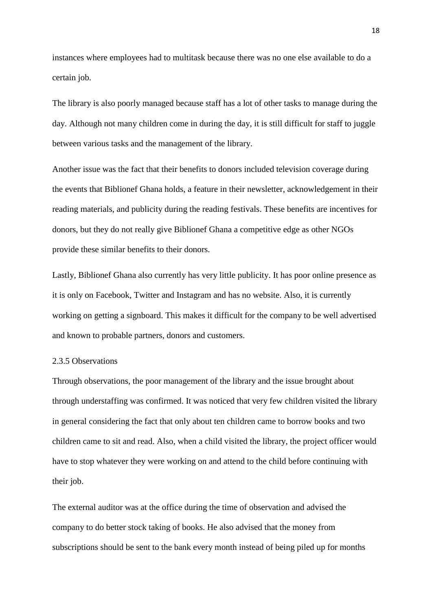instances where employees had to multitask because there was no one else available to do a certain job.

The library is also poorly managed because staff has a lot of other tasks to manage during the day. Although not many children come in during the day, it is still difficult for staff to juggle between various tasks and the management of the library.

Another issue was the fact that their benefits to donors included television coverage during the events that Biblionef Ghana holds, a feature in their newsletter, acknowledgement in their reading materials, and publicity during the reading festivals. These benefits are incentives for donors, but they do not really give Biblionef Ghana a competitive edge as other NGOs provide these similar benefits to their donors.

Lastly, Biblionef Ghana also currently has very little publicity. It has poor online presence as it is only on Facebook, Twitter and Instagram and has no website. Also, it is currently working on getting a signboard. This makes it difficult for the company to be well advertised and known to probable partners, donors and customers.

#### <span id="page-18-0"></span>2.3.5 Observations

Through observations, the poor management of the library and the issue brought about through understaffing was confirmed. It was noticed that very few children visited the library in general considering the fact that only about ten children came to borrow books and two children came to sit and read. Also, when a child visited the library, the project officer would have to stop whatever they were working on and attend to the child before continuing with their job.

The external auditor was at the office during the time of observation and advised the company to do better stock taking of books. He also advised that the money from subscriptions should be sent to the bank every month instead of being piled up for months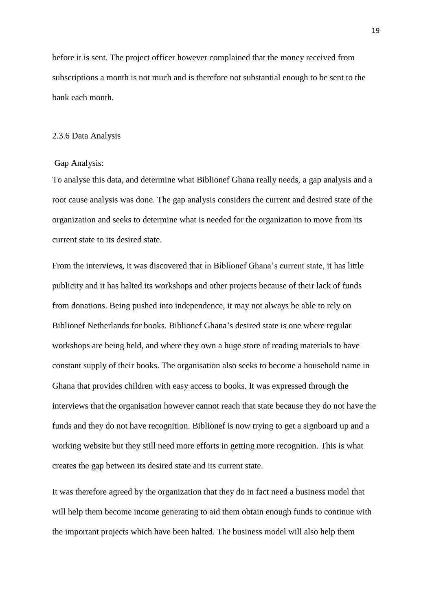before it is sent. The project officer however complained that the money received from subscriptions a month is not much and is therefore not substantial enough to be sent to the bank each month.

#### <span id="page-19-0"></span>2.3.6 Data Analysis

#### Gap Analysis:

To analyse this data, and determine what Biblionef Ghana really needs, a gap analysis and a root cause analysis was done. The gap analysis considers the current and desired state of the organization and seeks to determine what is needed for the organization to move from its current state to its desired state.

From the interviews, it was discovered that in Biblionef Ghana's current state, it has little publicity and it has halted its workshops and other projects because of their lack of funds from donations. Being pushed into independence, it may not always be able to rely on Biblionef Netherlands for books. Biblionef Ghana's desired state is one where regular workshops are being held, and where they own a huge store of reading materials to have constant supply of their books. The organisation also seeks to become a household name in Ghana that provides children with easy access to books. It was expressed through the interviews that the organisation however cannot reach that state because they do not have the funds and they do not have recognition. Biblionef is now trying to get a signboard up and a working website but they still need more efforts in getting more recognition. This is what creates the gap between its desired state and its current state.

It was therefore agreed by the organization that they do in fact need a business model that will help them become income generating to aid them obtain enough funds to continue with the important projects which have been halted. The business model will also help them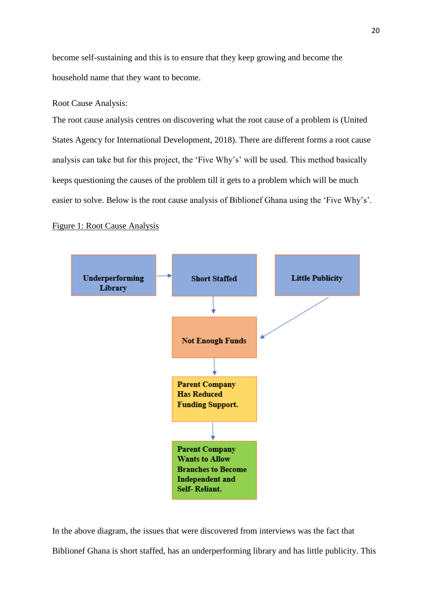become self-sustaining and this is to ensure that they keep growing and become the household name that they want to become.

#### Root Cause Analysis:

The root cause analysis centres on discovering what the root cause of a problem is (United States Agency for International Development, 2018). There are different forms a root cause analysis can take but for this project, the 'Five Why's' will be used. This method basically keeps questioning the causes of the problem till it gets to a problem which will be much easier to solve. Below is the root cause analysis of Biblionef Ghana using the 'Five Why's'.

#### Figure 1: Root Cause Analysis



In the above diagram, the issues that were discovered from interviews was the fact that Biblionef Ghana is short staffed, has an underperforming library and has little publicity. This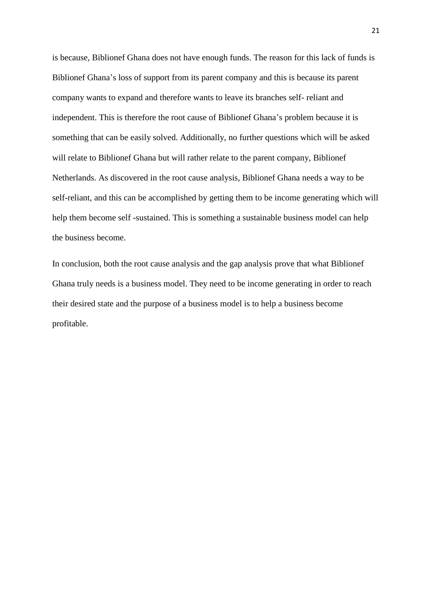is because, Biblionef Ghana does not have enough funds. The reason for this lack of funds is Biblionef Ghana's loss of support from its parent company and this is because its parent company wants to expand and therefore wants to leave its branches self- reliant and independent. This is therefore the root cause of Biblionef Ghana's problem because it is something that can be easily solved. Additionally, no further questions which will be asked will relate to Biblionef Ghana but will rather relate to the parent company, Biblionef Netherlands. As discovered in the root cause analysis, Biblionef Ghana needs a way to be self-reliant, and this can be accomplished by getting them to be income generating which will help them become self -sustained. This is something a sustainable business model can help the business become.

In conclusion, both the root cause analysis and the gap analysis prove that what Biblionef Ghana truly needs is a business model. They need to be income generating in order to reach their desired state and the purpose of a business model is to help a business become profitable.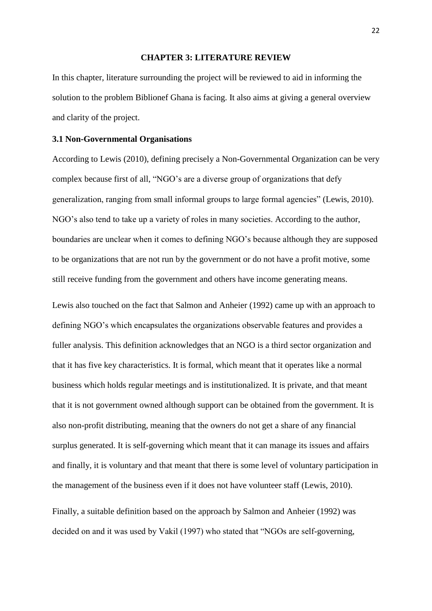#### **CHAPTER 3: LITERATURE REVIEW**

<span id="page-22-0"></span>In this chapter, literature surrounding the project will be reviewed to aid in informing the solution to the problem Biblionef Ghana is facing. It also aims at giving a general overview and clarity of the project.

#### <span id="page-22-1"></span>**3.1 Non-Governmental Organisations**

According to Lewis (2010), defining precisely a Non-Governmental Organization can be very complex because first of all, "NGO's are a diverse group of organizations that defy generalization, ranging from small informal groups to large formal agencies" (Lewis, 2010). NGO's also tend to take up a variety of roles in many societies. According to the author, boundaries are unclear when it comes to defining NGO's because although they are supposed to be organizations that are not run by the government or do not have a profit motive, some still receive funding from the government and others have income generating means.

Lewis also touched on the fact that Salmon and Anheier (1992) came up with an approach to defining NGO's which encapsulates the organizations observable features and provides a fuller analysis. This definition acknowledges that an NGO is a third sector organization and that it has five key characteristics. It is formal, which meant that it operates like a normal business which holds regular meetings and is institutionalized. It is private, and that meant that it is not government owned although support can be obtained from the government. It is also non-profit distributing, meaning that the owners do not get a share of any financial surplus generated. It is self-governing which meant that it can manage its issues and affairs and finally, it is voluntary and that meant that there is some level of voluntary participation in the management of the business even if it does not have volunteer staff (Lewis, 2010).

Finally, a suitable definition based on the approach by Salmon and Anheier (1992) was decided on and it was used by Vakil (1997) who stated that "NGOs are self-governing,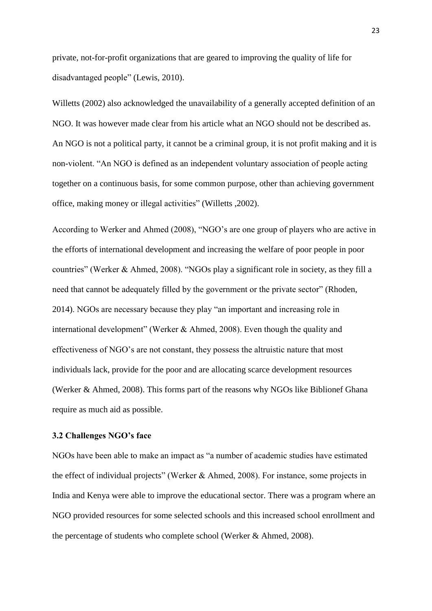private, not-for-profit organizations that are geared to improving the quality of life for disadvantaged people" (Lewis, 2010).

Willetts (2002) also acknowledged the unavailability of a generally accepted definition of an NGO. It was however made clear from his article what an NGO should not be described as. An NGO is not a political party, it cannot be a criminal group, it is not profit making and it is non-violent. "An NGO is defined as an independent voluntary association of people acting together on a continuous basis, for some common purpose, other than achieving government office, making money or illegal activities" (Willetts ,2002).

According to Werker and Ahmed (2008), "NGO's are one group of players who are active in the efforts of international development and increasing the welfare of poor people in poor countries" (Werker & Ahmed, 2008). "NGOs play a significant role in society, as they fill a need that cannot be adequately filled by the government or the private sector" (Rhoden, 2014). NGOs are necessary because they play "an important and increasing role in international development" (Werker & Ahmed, 2008). Even though the quality and effectiveness of NGO's are not constant, they possess the altruistic nature that most individuals lack, provide for the poor and are allocating scarce development resources (Werker & Ahmed, 2008). This forms part of the reasons why NGOs like Biblionef Ghana require as much aid as possible.

#### <span id="page-23-0"></span>**3.2 Challenges NGO's face**

NGOs have been able to make an impact as "a number of academic studies have estimated the effect of individual projects" (Werker & Ahmed, 2008). For instance, some projects in India and Kenya were able to improve the educational sector. There was a program where an NGO provided resources for some selected schools and this increased school enrollment and the percentage of students who complete school (Werker & Ahmed, 2008).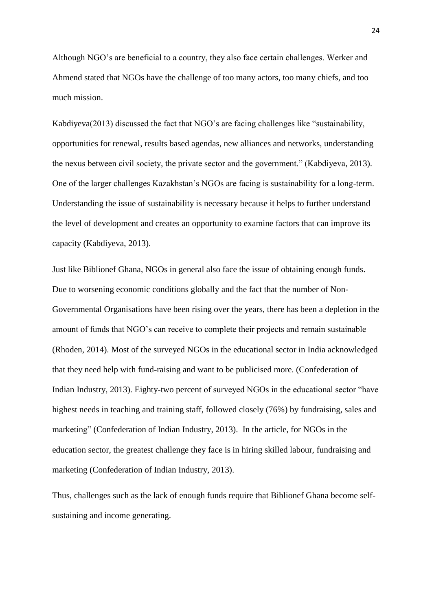Although NGO's are beneficial to a country, they also face certain challenges. Werker and Ahmend stated that NGOs have the challenge of too many actors, too many chiefs, and too much mission.

Kabdiyeva(2013) discussed the fact that NGO's are facing challenges like "sustainability, opportunities for renewal, results based agendas, new alliances and networks, understanding the nexus between civil society, the private sector and the government." (Kabdiyeva, 2013). One of the larger challenges Kazakhstan's NGOs are facing is sustainability for a long-term. Understanding the issue of sustainability is necessary because it helps to further understand the level of development and creates an opportunity to examine factors that can improve its capacity (Kabdiyeva, 2013).

Just like Biblionef Ghana, NGOs in general also face the issue of obtaining enough funds. Due to worsening economic conditions globally and the fact that the number of Non-Governmental Organisations have been rising over the years, there has been a depletion in the amount of funds that NGO's can receive to complete their projects and remain sustainable (Rhoden, 2014). Most of the surveyed NGOs in the educational sector in India acknowledged that they need help with fund-raising and want to be publicised more. (Confederation of Indian Industry, 2013). Eighty-two percent of surveyed NGOs in the educational sector "have highest needs in teaching and training staff, followed closely (76%) by fundraising, sales and marketing" (Confederation of Indian Industry, 2013). In the article, for NGOs in the education sector, the greatest challenge they face is in hiring skilled labour, fundraising and marketing (Confederation of Indian Industry, 2013).

Thus, challenges such as the lack of enough funds require that Biblionef Ghana become selfsustaining and income generating.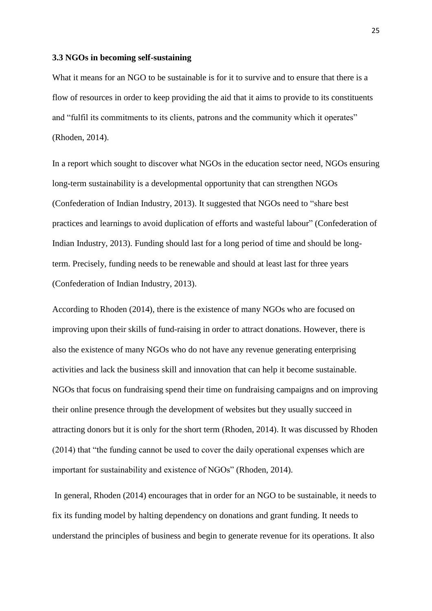#### <span id="page-25-0"></span>**3.3 NGOs in becoming self-sustaining**

What it means for an NGO to be sustainable is for it to survive and to ensure that there is a flow of resources in order to keep providing the aid that it aims to provide to its constituents and "fulfil its commitments to its clients, patrons and the community which it operates" (Rhoden, 2014).

In a report which sought to discover what NGOs in the education sector need, NGOs ensuring long-term sustainability is a developmental opportunity that can strengthen NGOs (Confederation of Indian Industry, 2013). It suggested that NGOs need to "share best practices and learnings to avoid duplication of efforts and wasteful labour" (Confederation of Indian Industry, 2013). Funding should last for a long period of time and should be longterm. Precisely, funding needs to be renewable and should at least last for three years (Confederation of Indian Industry, 2013).

According to Rhoden (2014), there is the existence of many NGOs who are focused on improving upon their skills of fund-raising in order to attract donations. However, there is also the existence of many NGOs who do not have any revenue generating enterprising activities and lack the business skill and innovation that can help it become sustainable. NGOs that focus on fundraising spend their time on fundraising campaigns and on improving their online presence through the development of websites but they usually succeed in attracting donors but it is only for the short term (Rhoden, 2014). It was discussed by Rhoden (2014) that "the funding cannot be used to cover the daily operational expenses which are important for sustainability and existence of NGOs" (Rhoden, 2014).

In general, Rhoden (2014) encourages that in order for an NGO to be sustainable, it needs to fix its funding model by halting dependency on donations and grant funding. It needs to understand the principles of business and begin to generate revenue for its operations. It also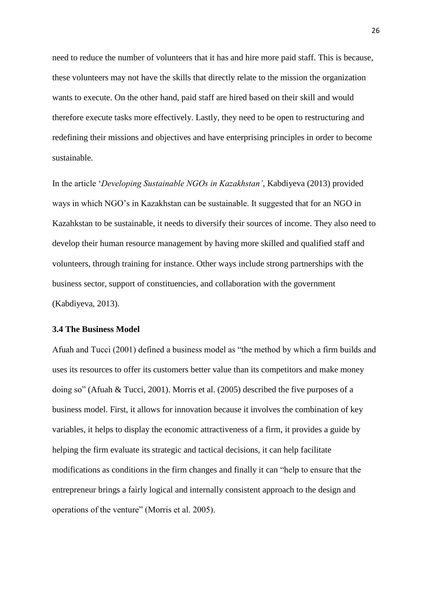need to reduce the number of volunteers that it has and hire more paid staff. This is because, these volunteers may not have the skills that directly relate to the mission the organization wants to execute. On the other hand, paid staff are hired based on their skill and would therefore execute tasks more effectively. Lastly, they need to be open to restructuring and redefining their missions and objectives and have enterprising principles in order to become sustainable.

In the article '*Developing Sustainable NGOs in Kazakhstan'*, Kabdiyeva (2013) provided ways in which NGO's in Kazakhstan can be sustainable. It suggested that for an NGO in Kazahkstan to be sustainable, it needs to diversify their sources of income. They also need to develop their human resource management by having more skilled and qualified staff and volunteers, through training for instance. Other ways include strong partnerships with the business sector, support of constituencies, and collaboration with the government (Kabdiyeva, 2013).

#### <span id="page-26-0"></span>**3.4 The Business Model**

Afuah and Tucci (2001) defined a business model as "the method by which a firm builds and uses its resources to offer its customers better value than its competitors and make money doing so" (Afuah & Tucci, 2001). Morris et al. (2005) described the five purposes of a business model. First, it allows for innovation because it involves the combination of key variables, it helps to display the economic attractiveness of a firm, it provides a guide by helping the firm evaluate its strategic and tactical decisions, it can help facilitate modifications as conditions in the firm changes and finally it can "help to ensure that the entrepreneur brings a fairly logical and internally consistent approach to the design and operations of the venture" (Morris et al. 2005).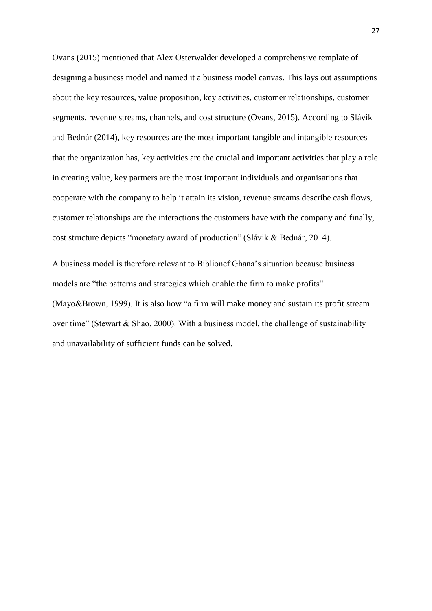Ovans (2015) mentioned that Alex Osterwalder developed a comprehensive template of designing a business model and named it a business model canvas. This lays out assumptions about the key resources, value proposition, key activities, customer relationships, customer segments, revenue streams, channels, and cost structure (Ovans, 2015). According to Slávik and Bednár (2014), key resources are the most important tangible and intangible resources that the organization has, key activities are the crucial and important activities that play a role in creating value, key partners are the most important individuals and organisations that cooperate with the company to help it attain its vision, revenue streams describe cash flows, customer relationships are the interactions the customers have with the company and finally, cost structure depicts "monetary award of production" (Slávik & Bednár, 2014).

A business model is therefore relevant to Biblionef Ghana's situation because business models are "the patterns and strategies which enable the firm to make profits" (Mayo&Brown, 1999). It is also how "a firm will make money and sustain its profit stream over time" (Stewart & Shao, 2000). With a business model, the challenge of sustainability and unavailability of sufficient funds can be solved.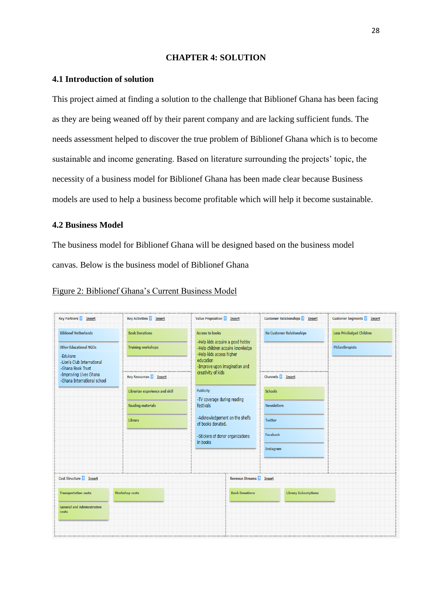#### **CHAPTER 4: SOLUTION**

#### <span id="page-28-1"></span><span id="page-28-0"></span>**4.1 Introduction of solution**

This project aimed at finding a solution to the challenge that Biblionef Ghana has been facing as they are being weaned off by their parent company and are lacking sufficient funds. The needs assessment helped to discover the true problem of Biblionef Ghana which is to become sustainable and income generating. Based on literature surrounding the projects' topic, the necessity of a business model for Biblionef Ghana has been made clear because Business models are used to help a business become profitable which will help it become sustainable.

#### <span id="page-28-2"></span>**4.2 Business Model**

The business model for Biblionef Ghana will be designed based on the business model canvas. Below is the business model of Biblionef Ghana

| <b>Key Partners 2 Insert</b>                                                                            | <b>Key Activities 2 Insert</b>                     | <b>Value Proposition &amp; Insert</b>                                                                                                                                   | <b>Customer Relationships 2 Insert</b> | <b>Customer Segments &amp; Insert</b>               |
|---------------------------------------------------------------------------------------------------------|----------------------------------------------------|-------------------------------------------------------------------------------------------------------------------------------------------------------------------------|----------------------------------------|-----------------------------------------------------|
| <b>Biblionef Netherlands</b><br><b>Other Educational NGOs</b><br>-Edukans<br>-Lion's Club International | <b>Book Donations</b><br><b>Training workshops</b> | <b>Access to books</b><br>-Help kids acquire a good hobby<br>-Help children acquire knowledge<br>-Help kids access higher<br>education<br>-Improve upon imagination and | <b>No Customer Relationships</b>       | <b>Less Priviledged Children</b><br>Philanthropists |
| -Ghana Book Trust<br>-Improving Lives Ghana<br>-Ghana International school                              | <b>Key Resources 2 Insert</b>                      | creativity of kids                                                                                                                                                      | Channels <b>7</b> Insert               |                                                     |
|                                                                                                         | Librarian experience and skill                     | Publicity<br>-TV coverage during reading                                                                                                                                | <b>Schools</b>                         |                                                     |
|                                                                                                         | <b>Reading materials</b>                           | festivals                                                                                                                                                               | <b>Newsletters</b>                     |                                                     |
|                                                                                                         | Library                                            | -Acknowledgement on the shelfs<br>of books donated.                                                                                                                     | <b>Twitter</b>                         |                                                     |
|                                                                                                         |                                                    | -Stickers of donor organizations<br>in books                                                                                                                            | Facebook                               |                                                     |
|                                                                                                         |                                                    |                                                                                                                                                                         | Instagram                              |                                                     |
| <br>Cost Structure   Insert                                                                             |                                                    | <b>Revenue Streams 2 Insert</b>                                                                                                                                         |                                        |                                                     |
| <b>Transportation costs</b>                                                                             | <b>Workshop costs</b>                              | <b>Book Donations</b>                                                                                                                                                   | <b>Library Subscriptions</b>           |                                                     |
| <b>General and Administrative</b><br>costs                                                              |                                                    |                                                                                                                                                                         |                                        |                                                     |
|                                                                                                         |                                                    |                                                                                                                                                                         |                                        |                                                     |

#### Figure 2: Biblionef Ghana's Current Business Model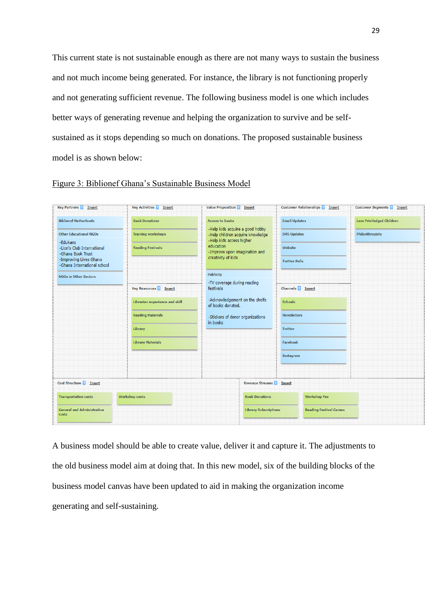This current state is not sustainable enough as there are not many ways to sustain the business and not much income being generated. For instance, the library is not functioning properly and not generating sufficient revenue. The following business model is one which includes better ways of generating revenue and helping the organization to survive and be selfsustained as it stops depending so much on donations. The proposed sustainable business model is as shown below:

| <b>Key Partners 2 Insert</b>                                | <b>Key Activities &amp; Insert</b> | <b>Value Proposition 2 Insert</b>                                                               | <b>Customer Relationships 2 Insert</b> | <b>Customer Segments &amp; Insert</b> |
|-------------------------------------------------------------|------------------------------------|-------------------------------------------------------------------------------------------------|----------------------------------------|---------------------------------------|
| <b>Biblionef Netherlands</b>                                | <b>Book Donations</b>              | <b>Access to books</b>                                                                          | <b>Email Updates</b>                   | <b>Less Priviledged Children</b>      |
| <b>Other Educational NGOs</b>                               | <b>Training workshops</b>          | -Help kids acquire a good hobby<br>-Help children acquire knowledge<br>-Help kids access higher | <b>SMS Updates</b>                     | Philanthropists                       |
| -Edukans<br>-Lion's Club International<br>-Ghana Book Trust | <b>Reading Festivals</b>           | education<br>-Improve upon imagination and                                                      | Website                                |                                       |
| -Improving Lives Ghana<br>-Ghana International school       |                                    | creativity of kids                                                                              | <b>Twitter Polls</b>                   |                                       |
| <b>NGOs in Other Sectors</b>                                |                                    | Publicity                                                                                       |                                        |                                       |
|                                                             | <b>Key Resources 2 Insert</b>      | -TV coverage during reading<br>festivals                                                        | Channels <b>R</b> Insert               |                                       |
|                                                             | Librarian experience and skill     | -Acknowledgement on the shelfs<br>of books donated.                                             | <b>Schools</b>                         |                                       |
|                                                             | <b>Reading Materials</b>           | -Stickers of donor organizations<br>in books                                                    | <b>Newsletters</b>                     |                                       |
|                                                             | Library                            |                                                                                                 | <b>Twitter</b>                         |                                       |
|                                                             | <b>Library Materials</b>           |                                                                                                 | <b>Facebook</b>                        |                                       |
|                                                             |                                    |                                                                                                 | Instagram                              |                                       |
|                                                             |                                    |                                                                                                 |                                        |                                       |
| Cost Structure 2 Insert                                     |                                    | <br><b>Revenue Streams 2 Insert</b>                                                             |                                        |                                       |
| <b>Transportation costs</b>                                 | <b>Workshop costs</b>              | <b>Book Donations</b>                                                                           | <b>Workshop Fee</b>                    |                                       |
| <b>General and Administrative</b><br>costs                  |                                    | <b>Library Subscriptions</b>                                                                    | <b>Reading Festival Games</b>          |                                       |
|                                                             |                                    |                                                                                                 |                                        |                                       |

#### Figure 3: Biblionef Ghana's Sustainable Business Model

A business model should be able to create value, deliver it and capture it. The adjustments to the old business model aim at doing that. In this new model, six of the building blocks of the business model canvas have been updated to aid in making the organization income generating and self-sustaining.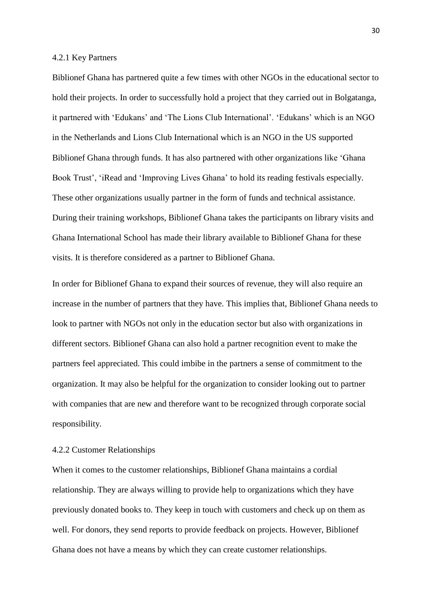#### <span id="page-30-0"></span>4.2.1 Key Partners

Biblionef Ghana has partnered quite a few times with other NGOs in the educational sector to hold their projects. In order to successfully hold a project that they carried out in Bolgatanga, it partnered with 'Edukans' and 'The Lions Club International'. 'Edukans' which is an NGO in the Netherlands and Lions Club International which is an NGO in the US supported Biblionef Ghana through funds. It has also partnered with other organizations like 'Ghana Book Trust', 'iRead and 'Improving Lives Ghana' to hold its reading festivals especially. These other organizations usually partner in the form of funds and technical assistance. During their training workshops, Biblionef Ghana takes the participants on library visits and Ghana International School has made their library available to Biblionef Ghana for these visits. It is therefore considered as a partner to Biblionef Ghana.

In order for Biblionef Ghana to expand their sources of revenue, they will also require an increase in the number of partners that they have. This implies that, Biblionef Ghana needs to look to partner with NGOs not only in the education sector but also with organizations in different sectors. Biblionef Ghana can also hold a partner recognition event to make the partners feel appreciated. This could imbibe in the partners a sense of commitment to the organization. It may also be helpful for the organization to consider looking out to partner with companies that are new and therefore want to be recognized through corporate social responsibility.

#### <span id="page-30-1"></span>4.2.2 Customer Relationships

When it comes to the customer relationships, Biblionef Ghana maintains a cordial relationship. They are always willing to provide help to organizations which they have previously donated books to. They keep in touch with customers and check up on them as well. For donors, they send reports to provide feedback on projects. However, Biblionef Ghana does not have a means by which they can create customer relationships.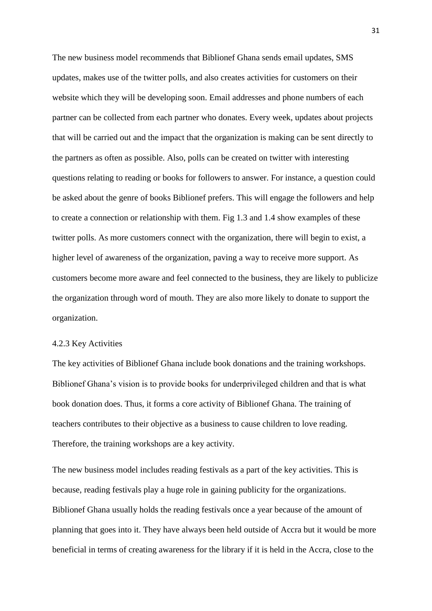The new business model recommends that Biblionef Ghana sends email updates, SMS updates, makes use of the twitter polls, and also creates activities for customers on their website which they will be developing soon. Email addresses and phone numbers of each partner can be collected from each partner who donates. Every week, updates about projects that will be carried out and the impact that the organization is making can be sent directly to the partners as often as possible. Also, polls can be created on twitter with interesting questions relating to reading or books for followers to answer. For instance, a question could be asked about the genre of books Biblionef prefers. This will engage the followers and help to create a connection or relationship with them. Fig 1.3 and 1.4 show examples of these twitter polls. As more customers connect with the organization, there will begin to exist, a higher level of awareness of the organization, paving a way to receive more support. As customers become more aware and feel connected to the business, they are likely to publicize the organization through word of mouth. They are also more likely to donate to support the organization.

#### <span id="page-31-0"></span>4.2.3 Key Activities

The key activities of Biblionef Ghana include book donations and the training workshops. Biblionef Ghana's vision is to provide books for underprivileged children and that is what book donation does. Thus, it forms a core activity of Biblionef Ghana. The training of teachers contributes to their objective as a business to cause children to love reading. Therefore, the training workshops are a key activity.

The new business model includes reading festivals as a part of the key activities. This is because, reading festivals play a huge role in gaining publicity for the organizations. Biblionef Ghana usually holds the reading festivals once a year because of the amount of planning that goes into it. They have always been held outside of Accra but it would be more beneficial in terms of creating awareness for the library if it is held in the Accra, close to the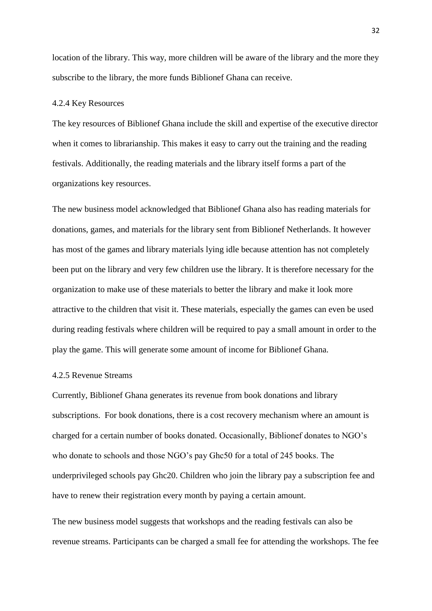location of the library. This way, more children will be aware of the library and the more they subscribe to the library, the more funds Biblionef Ghana can receive.

#### <span id="page-32-0"></span>4.2.4 Key Resources

The key resources of Biblionef Ghana include the skill and expertise of the executive director when it comes to librarianship. This makes it easy to carry out the training and the reading festivals. Additionally, the reading materials and the library itself forms a part of the organizations key resources.

The new business model acknowledged that Biblionef Ghana also has reading materials for donations, games, and materials for the library sent from Biblionef Netherlands. It however has most of the games and library materials lying idle because attention has not completely been put on the library and very few children use the library. It is therefore necessary for the organization to make use of these materials to better the library and make it look more attractive to the children that visit it. These materials, especially the games can even be used during reading festivals where children will be required to pay a small amount in order to the play the game. This will generate some amount of income for Biblionef Ghana.

#### <span id="page-32-1"></span>4.2.5 Revenue Streams

Currently, Biblionef Ghana generates its revenue from book donations and library subscriptions. For book donations, there is a cost recovery mechanism where an amount is charged for a certain number of books donated. Occasionally, Biblionef donates to NGO's who donate to schools and those NGO's pay Ghc50 for a total of 245 books. The underprivileged schools pay Ghc20. Children who join the library pay a subscription fee and have to renew their registration every month by paying a certain amount.

The new business model suggests that workshops and the reading festivals can also be revenue streams. Participants can be charged a small fee for attending the workshops. The fee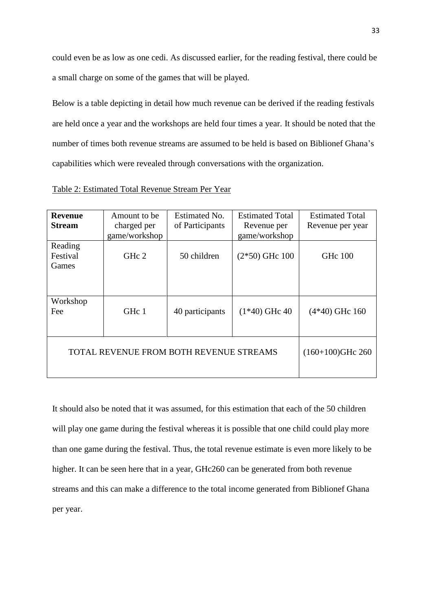could even be as low as one cedi. As discussed earlier, for the reading festival, there could be a small charge on some of the games that will be played.

Below is a table depicting in detail how much revenue can be derived if the reading festivals are held once a year and the workshops are held four times a year. It should be noted that the number of times both revenue streams are assumed to be held is based on Biblionef Ghana's capabilities which were revealed through conversations with the organization.

| <b>Revenue</b> | Amount to be  | Estimated No.                           | <b>Estimated Total</b> | <b>Estimated Total</b> |
|----------------|---------------|-----------------------------------------|------------------------|------------------------|
| <b>Stream</b>  | charged per   | of Participants                         | Revenue per            | Revenue per year       |
|                | game/workshop |                                         | game/workshop          |                        |
| Reading        |               |                                         |                        |                        |
| Festival       | GHc 2         | 50 children                             | $(2*50)$ GHc 100       | <b>GHc</b> 100         |
| Games          |               |                                         |                        |                        |
|                |               |                                         |                        |                        |
|                |               |                                         |                        |                        |
|                |               |                                         |                        |                        |
| Workshop       |               |                                         |                        |                        |
| Fee            | GHc 1         | 40 participants                         | $(1*40)$ GHc 40        | $(4*40)$ GHc 160       |
|                |               |                                         |                        |                        |
|                |               |                                         |                        |                        |
|                |               |                                         |                        |                        |
|                |               | TOTAL REVENUE FROM BOTH REVENUE STREAMS |                        | $(160+100)$ GHc 260    |
|                |               |                                         |                        |                        |
|                |               |                                         |                        |                        |
|                |               |                                         |                        |                        |

It should also be noted that it was assumed, for this estimation that each of the 50 children will play one game during the festival whereas it is possible that one child could play more than one game during the festival. Thus, the total revenue estimate is even more likely to be higher. It can be seen here that in a year, GHc260 can be generated from both revenue streams and this can make a difference to the total income generated from Biblionef Ghana per year.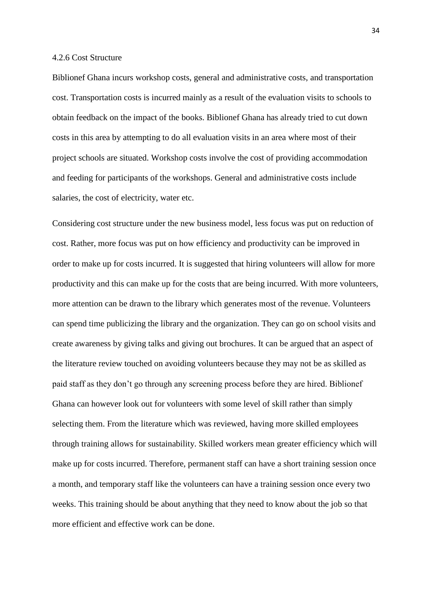#### <span id="page-34-0"></span>4.2.6 Cost Structure

Biblionef Ghana incurs workshop costs, general and administrative costs, and transportation cost. Transportation costs is incurred mainly as a result of the evaluation visits to schools to obtain feedback on the impact of the books. Biblionef Ghana has already tried to cut down costs in this area by attempting to do all evaluation visits in an area where most of their project schools are situated. Workshop costs involve the cost of providing accommodation and feeding for participants of the workshops. General and administrative costs include salaries, the cost of electricity, water etc.

Considering cost structure under the new business model, less focus was put on reduction of cost. Rather, more focus was put on how efficiency and productivity can be improved in order to make up for costs incurred. It is suggested that hiring volunteers will allow for more productivity and this can make up for the costs that are being incurred. With more volunteers, more attention can be drawn to the library which generates most of the revenue. Volunteers can spend time publicizing the library and the organization. They can go on school visits and create awareness by giving talks and giving out brochures. It can be argued that an aspect of the literature review touched on avoiding volunteers because they may not be as skilled as paid staff as they don't go through any screening process before they are hired. Biblionef Ghana can however look out for volunteers with some level of skill rather than simply selecting them. From the literature which was reviewed, having more skilled employees through training allows for sustainability. Skilled workers mean greater efficiency which will make up for costs incurred. Therefore, permanent staff can have a short training session once a month, and temporary staff like the volunteers can have a training session once every two weeks. This training should be about anything that they need to know about the job so that more efficient and effective work can be done.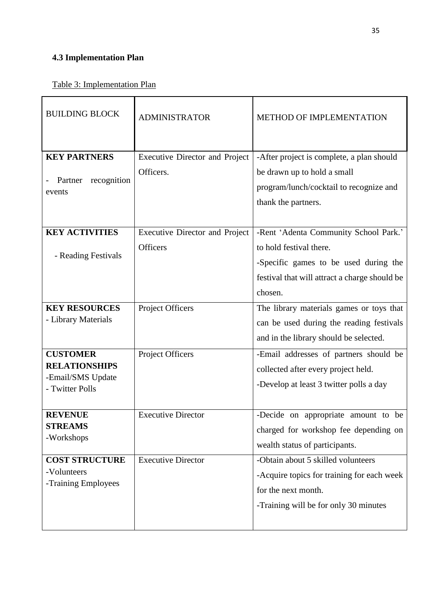# <span id="page-35-0"></span>**4.3 Implementation Plan**

| <b>BUILDING BLOCK</b>                                                           | <b>ADMINISTRATOR</b>                                     | <b>METHOD OF IMPLEMENTATION</b>                                                                                                                                       |
|---------------------------------------------------------------------------------|----------------------------------------------------------|-----------------------------------------------------------------------------------------------------------------------------------------------------------------------|
| <b>KEY PARTNERS</b><br>recognition<br>Partner<br>events                         | <b>Executive Director and Project</b><br>Officers.       | -After project is complete, a plan should<br>be drawn up to hold a small<br>program/lunch/cocktail to recognize and<br>thank the partners.                            |
| <b>KEY ACTIVITIES</b><br>- Reading Festivals                                    | <b>Executive Director and Project</b><br><b>Officers</b> | -Rent 'Adenta Community School Park.'<br>to hold festival there.<br>-Specific games to be used during the<br>festival that will attract a charge should be<br>chosen. |
| <b>KEY RESOURCES</b><br>- Library Materials                                     | Project Officers                                         | The library materials games or toys that<br>can be used during the reading festivals<br>and in the library should be selected.                                        |
| <b>CUSTOMER</b><br><b>RELATIONSHIPS</b><br>-Email/SMS Update<br>- Twitter Polls | Project Officers                                         | -Email addresses of partners should be<br>collected after every project held.<br>-Develop at least 3 twitter polls a day                                              |
| <b>REVENUE</b><br><b>STREAMS</b><br>-Workshops                                  | <b>Executive Director</b>                                | -Decide on appropriate amount to be<br>charged for workshop fee depending on<br>wealth status of participants.                                                        |
| <b>COST STRUCTURE</b><br>-Volunteers<br>-Training Employees                     | <b>Executive Director</b>                                | -Obtain about 5 skilled volunteers<br>-Acquire topics for training for each week<br>for the next month.<br>-Training will be for only 30 minutes                      |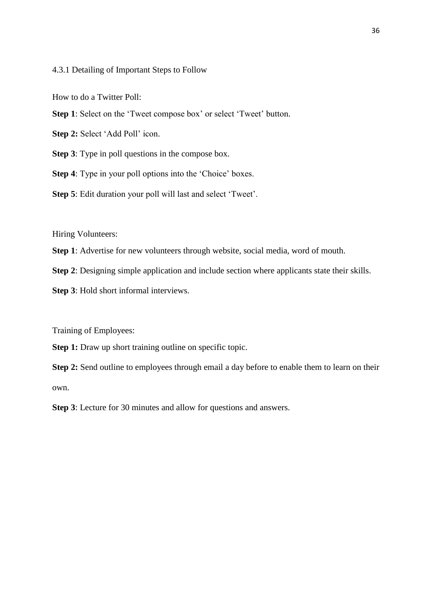#### <span id="page-36-0"></span>4.3.1 Detailing of Important Steps to Follow

How to do a Twitter Poll:

**Step 1**: Select on the 'Tweet compose box' or select 'Tweet' button.

**Step 2:** Select 'Add Poll' icon.

**Step 3**: Type in poll questions in the compose box.

**Step 4**: Type in your poll options into the 'Choice' boxes.

**Step 5**: Edit duration your poll will last and select 'Tweet'.

Hiring Volunteers:

- **Step 1**: Advertise for new volunteers through website, social media, word of mouth.
- **Step 2**: Designing simple application and include section where applicants state their skills.
- **Step 3**: Hold short informal interviews.

Training of Employees:

**Step 1:** Draw up short training outline on specific topic.

**Step 2:** Send outline to employees through email a day before to enable them to learn on their own.

**Step 3**: Lecture for 30 minutes and allow for questions and answers.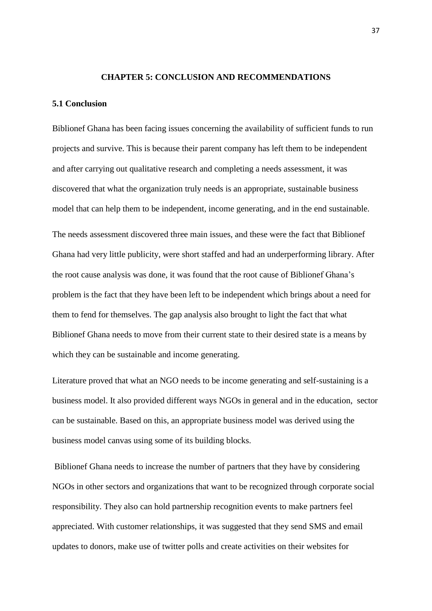#### **CHAPTER 5: CONCLUSION AND RECOMMENDATIONS**

#### <span id="page-37-1"></span><span id="page-37-0"></span>**5.1 Conclusion**

Biblionef Ghana has been facing issues concerning the availability of sufficient funds to run projects and survive. This is because their parent company has left them to be independent and after carrying out qualitative research and completing a needs assessment, it was discovered that what the organization truly needs is an appropriate, sustainable business model that can help them to be independent, income generating, and in the end sustainable.

The needs assessment discovered three main issues, and these were the fact that Biblionef Ghana had very little publicity, were short staffed and had an underperforming library. After the root cause analysis was done, it was found that the root cause of Biblionef Ghana's problem is the fact that they have been left to be independent which brings about a need for them to fend for themselves. The gap analysis also brought to light the fact that what Biblionef Ghana needs to move from their current state to their desired state is a means by which they can be sustainable and income generating.

Literature proved that what an NGO needs to be income generating and self-sustaining is a business model. It also provided different ways NGOs in general and in the education, sector can be sustainable. Based on this, an appropriate business model was derived using the business model canvas using some of its building blocks.

Biblionef Ghana needs to increase the number of partners that they have by considering NGOs in other sectors and organizations that want to be recognized through corporate social responsibility. They also can hold partnership recognition events to make partners feel appreciated. With customer relationships, it was suggested that they send SMS and email updates to donors, make use of twitter polls and create activities on their websites for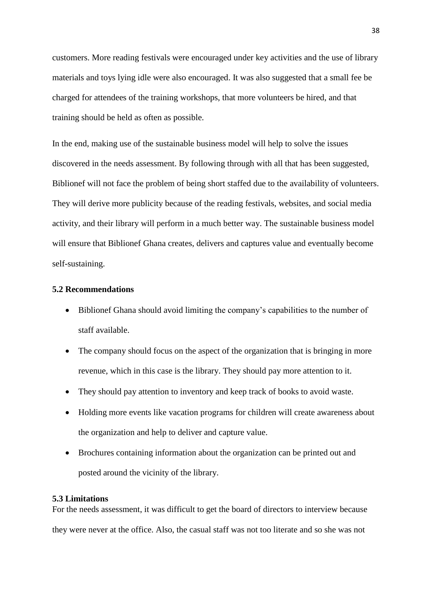customers. More reading festivals were encouraged under key activities and the use of library materials and toys lying idle were also encouraged. It was also suggested that a small fee be charged for attendees of the training workshops, that more volunteers be hired, and that training should be held as often as possible.

In the end, making use of the sustainable business model will help to solve the issues discovered in the needs assessment. By following through with all that has been suggested, Biblionef will not face the problem of being short staffed due to the availability of volunteers. They will derive more publicity because of the reading festivals, websites, and social media activity, and their library will perform in a much better way. The sustainable business model will ensure that Biblionef Ghana creates, delivers and captures value and eventually become self-sustaining.

#### <span id="page-38-0"></span>**5.2 Recommendations**

- Biblionef Ghana should avoid limiting the company's capabilities to the number of staff available.
- The company should focus on the aspect of the organization that is bringing in more revenue, which in this case is the library. They should pay more attention to it.
- They should pay attention to inventory and keep track of books to avoid waste.
- Holding more events like vacation programs for children will create awareness about the organization and help to deliver and capture value.
- Brochures containing information about the organization can be printed out and posted around the vicinity of the library.

#### <span id="page-38-1"></span>**5.3 Limitations**

For the needs assessment, it was difficult to get the board of directors to interview because they were never at the office. Also, the casual staff was not too literate and so she was not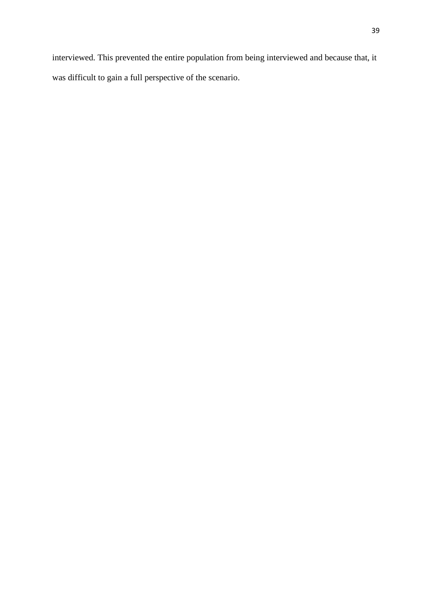interviewed. This prevented the entire population from being interviewed and because that, it was difficult to gain a full perspective of the scenario.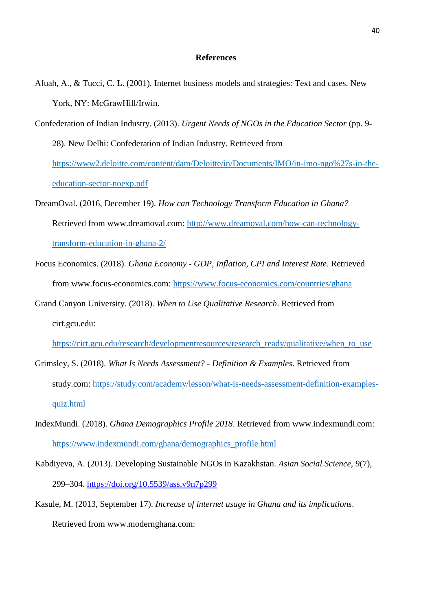#### **References**

- Afuah, A., & Tucci, C. L. (2001). Internet business models and strategies: Text and cases. New York, NY: McGrawHill/Irwin.
- Confederation of Indian Industry. (2013). *Urgent Needs of NGOs in the Education Sector* (pp. 9- 28). New Delhi: Confederation of Indian Industry. Retrieved from https://www2.deloitte.com/content/dam/Deloitte/in/Documents/IMO/in-imo-ngo%27s-in-theeducation-sector-noexp.pdf
- DreamOval. (2016, December 19). *How can Technology Transform Education in Ghana?* Retrieved from www.dreamoval.com: [http://www.dreamoval.com/how-can-technology](http://www.dreamoval.com/how-can-technology-transform-education-in-ghana-2/)[transform-education-in-ghana-2/](http://www.dreamoval.com/how-can-technology-transform-education-in-ghana-2/)
- Focus Economics. (2018). *Ghana Economy - GDP, Inflation, CPI and Interest Rate*. Retrieved from www.focus-economics.com:<https://www.focus-economics.com/countries/ghana>
- Grand Canyon University. (2018). *When to Use Qualitative Research*. Retrieved from cirt.gcu.edu:
	- [https://cirt.gcu.edu/research/developmentresources/research\\_ready/qualitative/when\\_to\\_use](https://cirt.gcu.edu/research/developmentresources/research_ready/qualitative/when_to_use)
- Grimsley, S. (2018). *What Is Needs Assessment? - Definition & Examples*. Retrieved from study.com: [https://study.com/academy/lesson/what-is-needs-assessment-definition-examples](https://study.com/academy/lesson/what-is-needs-assessment-definition-examples-quiz.html)[quiz.html](https://study.com/academy/lesson/what-is-needs-assessment-definition-examples-quiz.html)
- IndexMundi. (2018). *Ghana Demographics Profile 2018*. Retrieved from www.indexmundi.com: [https://www.indexmundi.com/ghana/demographics\\_profile.html](https://www.indexmundi.com/ghana/demographics_profile.html)
- Kabdiyeva, A. (2013). Developing Sustainable NGOs in Kazakhstan. *Asian Social Science*, *9*(7), 299–304.<https://doi.org/10.5539/ass.v9n7p299>
- Kasule, M. (2013, September 17). *Increase of internet usage in Ghana and its implications*. Retrieved from www.modernghana.com: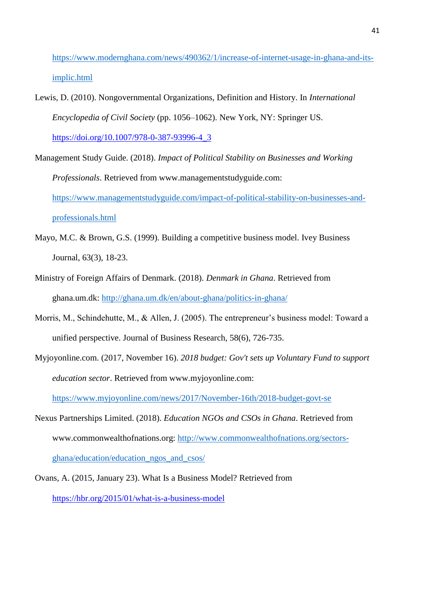[https://www.modernghana.com/news/490362/1/increase-of-internet-usage-in-ghana-and-its](https://www.modernghana.com/news/490362/1/increase-of-internet-usage-in-ghana-and-its-implic.html)[implic.html](https://www.modernghana.com/news/490362/1/increase-of-internet-usage-in-ghana-and-its-implic.html)

- Lewis, D. (2010). Nongovernmental Organizations, Definition and History. In *International Encyclopedia of Civil Society* (pp. 1056–1062). New York, NY: Springer US. [https://doi.org/10.1007/978-0-387-93996-4\\_3](https://doi.org/10.1007/978-0-387-93996-4_3)
- Management Study Guide. (2018). *Impact of Political Stability on Businesses and Working Professionals*. Retrieved from www.managementstudyguide.com: [https://www.managementstudyguide.com/impact-of-political-stability-on-businesses-and](https://www.managementstudyguide.com/impact-of-political-stability-on-businesses-and-professionals.htm)[professionals.html](https://www.managementstudyguide.com/impact-of-political-stability-on-businesses-and-professionals.htm)
- Mayo, M.C. & Brown, G.S. (1999). Building a competitive business model. Ivey Business Journal, 63(3), 18-23.
- Ministry of Foreign Affairs of Denmark. (2018). *Denmark in Ghana*. Retrieved from ghana.um.dk:<http://ghana.um.dk/en/about-ghana/politics-in-ghana/>
- Morris, M., Schindehutte, M., & Allen, J. (2005). The entrepreneur's business model: Toward a unified perspective. Journal of Business Research, 58(6), 726-735.
- Myjoyonline.com. (2017, November 16). *2018 budget: Gov't sets up Voluntary Fund to support education sector*. Retrieved from www.myjoyonline.com:

<https://www.myjoyonline.com/news/2017/November-16th/2018-budget-govt-se>

- Nexus Partnerships Limited. (2018). *Education NGOs and CSOs in Ghana*. Retrieved from www.commonwealthofnations.org: [http://www.commonwealthofnations.org/sectors](http://www.commonwealthofnations.org/sectors-ghana/education/education_ngos_and_csos/)[ghana/education/education\\_ngos\\_and\\_csos/](http://www.commonwealthofnations.org/sectors-ghana/education/education_ngos_and_csos/)
- Ovans, A. (2015, January 23). What Is a Business Model? Retrieved from <https://hbr.org/2015/01/what-is-a-business-model>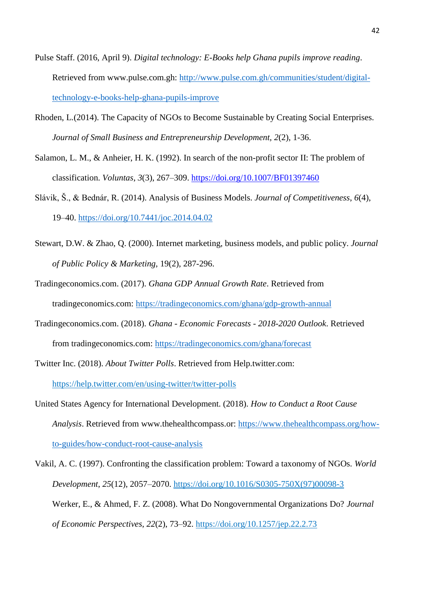- Pulse Staff. (2016, April 9). *Digital technology: E-Books help Ghana pupils improve reading*. Retrieved from www.pulse.com.gh: [http://www.pulse.com.gh/communities/student/digital](http://www.pulse.com.gh/communities/student/digital-technology-e-books-help-ghana-pupils-improve)[technology-e-books-help-ghana-pupils-improve](http://www.pulse.com.gh/communities/student/digital-technology-e-books-help-ghana-pupils-improve)
- Rhoden, L.(2014). The Capacity of NGOs to Become Sustainable by Creating Social Enterprises. *Journal of Small Business and Entrepreneurship Development, 2*(2), 1-36.
- Salamon, L. M., & Anheier, H. K. (1992). In search of the non-profit sector II: The problem of classification. *Voluntas*, *3*(3), 267–309.<https://doi.org/10.1007/BF01397460>
- Slávik, Š., & Bednár, R. (2014). Analysis of Business Models. *Journal of Competitiveness*, *6*(4), 19–40.<https://doi.org/10.7441/joc.2014.04.02>
- Stewart, D.W. & Zhao, Q. (2000). Internet marketing, business models, and public policy. *Journal of Public Policy & Marketing,* 19(2), 287-296.
- Tradingeconomics.com. (2017). *Ghana GDP Annual Growth Rate*. Retrieved from tradingeconomics.com:<https://tradingeconomics.com/ghana/gdp-growth-annual>
- Tradingeconomics.com. (2018). *Ghana - Economic Forecasts - 2018-2020 Outlook*. Retrieved from tradingeconomics.com:<https://tradingeconomics.com/ghana/forecast>
- Twitter Inc. (2018). *About Twitter Polls*. Retrieved from Help.twitter.com: https://help.twitter.com/en/using-twitter/twitter-polls
- United States Agency for International Development. (2018). *How to Conduct a Root Cause Analysis*. Retrieved from www.thehealthcompass.or: [https://www.thehealthcompass.org/how](https://www.thehealthcompass.org/how-to-guides/how-conduct-root-cause-analysis)[to-guides/how-conduct-root-cause-analysis](https://www.thehealthcompass.org/how-to-guides/how-conduct-root-cause-analysis)
- Vakil, A. C. (1997). Confronting the classification problem: Toward a taxonomy of NGOs. *World Development*, *25*(12), 2057–2070. [https://doi.org/10.1016/S0305-750X\(97\)00098-3](https://doi.org/10.1016/S0305-750X(97)00098-3) Werker, E., & Ahmed, F. Z. (2008). What Do Nongovernmental Organizations Do? *Journal of Economic Perspectives*, *22*(2), 73–92.<https://doi.org/10.1257/jep.22.2.73>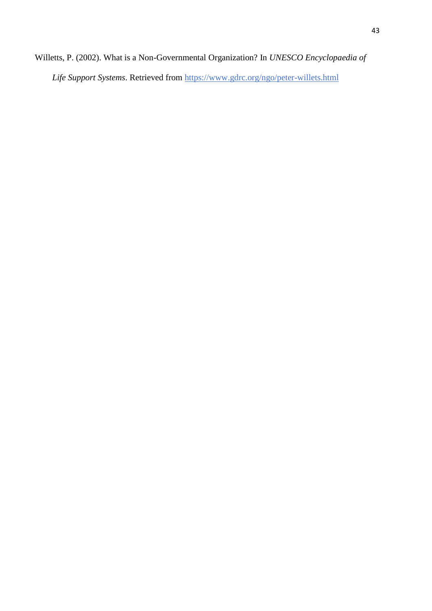Willetts, P. (2002). What is a Non-Governmental Organization? In *UNESCO Encyclopaedia of* 

*Life Support Systems*. Retrieved from<https://www.gdrc.org/ngo/peter-willets.html>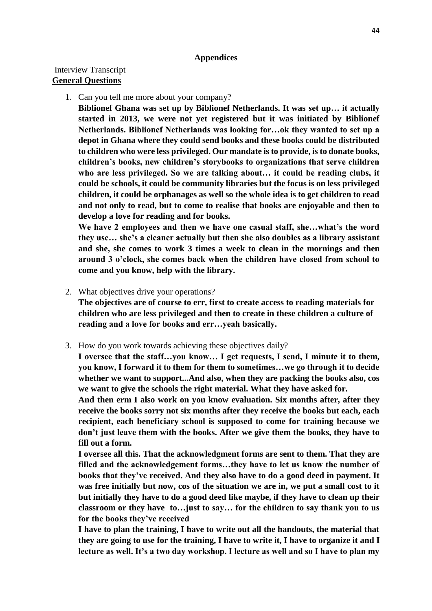#### **Appendices**

# <span id="page-44-1"></span><span id="page-44-0"></span>Interview Transcript **General Questions**

1. Can you tell me more about your company?

**Biblionef Ghana was set up by Biblionef Netherlands. It was set up… it actually started in 2013, we were not yet registered but it was initiated by Biblionef Netherlands. Biblionef Netherlands was looking for…ok they wanted to set up a depot in Ghana where they could send books and these books could be distributed to children who were less privileged. Our mandate is to provide, is to donate books, children's books, new children's storybooks to organizations that serve children who are less privileged. So we are talking about… it could be reading clubs, it could be schools, it could be community libraries but the focus is on less privileged children, it could be orphanages as well so the whole idea is to get children to read and not only to read, but to come to realise that books are enjoyable and then to develop a love for reading and for books.**

**We have 2 employees and then we have one casual staff, she…what's the word they use… she's a cleaner actually but then she also doubles as a library assistant and she, she comes to work 3 times a week to clean in the mornings and then around 3 o'clock, she comes back when the children have closed from school to come and you know, help with the library.**

- 2. What objectives drive your operations? **The objectives are of course to err, first to create access to reading materials for children who are less privileged and then to create in these children a culture of reading and a love for books and err…yeah basically.**
- 3. How do you work towards achieving these objectives daily?

**I oversee that the staff…you know… I get requests, I send, I minute it to them, you know, I forward it to them for them to sometimes…we go through it to decide whether we want to support...And also, when they are packing the books also, cos we want to give the schools the right material. What they have asked for.** 

**And then erm I also work on you know evaluation. Six months after, after they receive the books sorry not six months after they receive the books but each, each recipient, each beneficiary school is supposed to come for training because we don't just leave them with the books. After we give them the books, they have to fill out a form.**

**I oversee all this. That the acknowledgment forms are sent to them. That they are filled and the acknowledgement forms…they have to let us know the number of books that they've received. And they also have to do a good deed in payment. It was free initially but now, cos of the situation we are in, we put a small cost to it but initially they have to do a good deed like maybe, if they have to clean up their classroom or they have to…just to say… for the children to say thank you to us for the books they've received**

**I have to plan the training, I have to write out all the handouts, the material that they are going to use for the training, I have to write it, I have to organize it and I lecture as well. It's a two day workshop. I lecture as well and so I have to plan my**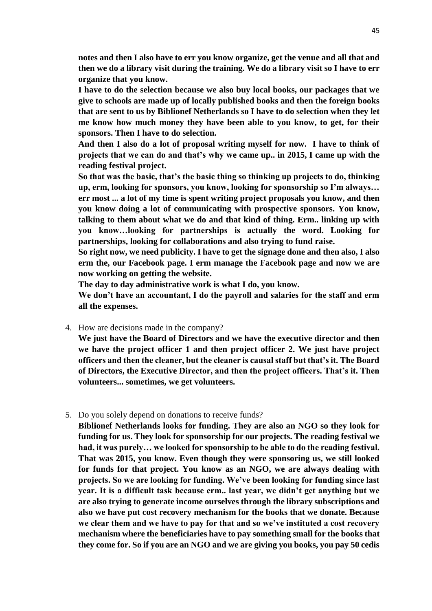**notes and then I also have to err you know organize, get the venue and all that and then we do a library visit during the training. We do a library visit so I have to err organize that you know.**

**I have to do the selection because we also buy local books, our packages that we give to schools are made up of locally published books and then the foreign books that are sent to us by Biblionef Netherlands so I have to do selection when they let me know how much money they have been able to you know, to get, for their sponsors. Then I have to do selection.**

**And then I also do a lot of proposal writing myself for now. I have to think of projects that we can do and that's why we came up.. in 2015, I came up with the reading festival project.**

**So that was the basic, that's the basic thing so thinking up projects to do, thinking up, erm, looking for sponsors, you know, looking for sponsorship so I'm always… err most ... a lot of my time is spent writing project proposals you know, and then you know doing a lot of communicating with prospective sponsors. You know, talking to them about what we do and that kind of thing. Erm.. linking up with you know…looking for partnerships is actually the word. Looking for partnerships, looking for collaborations and also trying to fund raise.**

**So right now, we need publicity. I have to get the signage done and then also, I also erm the, our Facebook page. I erm manage the Facebook page and now we are now working on getting the website.**

**The day to day administrative work is what I do, you know.**

**We don't have an accountant, I do the payroll and salaries for the staff and erm all the expenses.**

4. How are decisions made in the company?

**We just have the Board of Directors and we have the executive director and then we have the project officer 1 and then project officer 2. We just have project officers and then the cleaner, but the cleaner is causal staff but that's it. The Board of Directors, the Executive Director, and then the project officers. That's it. Then volunteers... sometimes, we get volunteers.**

5. Do you solely depend on donations to receive funds?

**Biblionef Netherlands looks for funding. They are also an NGO so they look for funding for us. They look for sponsorship for our projects. The reading festival we had, it was purely… we looked for sponsorship to be able to do the reading festival. That was 2015, you know. Even though they were sponsoring us, we still looked for funds for that project. You know as an NGO, we are always dealing with projects. So we are looking for funding. We've been looking for funding since last year. It is a difficult task because erm.. last year, we didn't get anything but we are also trying to generate income ourselves through the library subscriptions and also we have put cost recovery mechanism for the books that we donate. Because we clear them and we have to pay for that and so we've instituted a cost recovery mechanism where the beneficiaries have to pay something small for the books that they come for. So if you are an NGO and we are giving you books, you pay 50 cedis**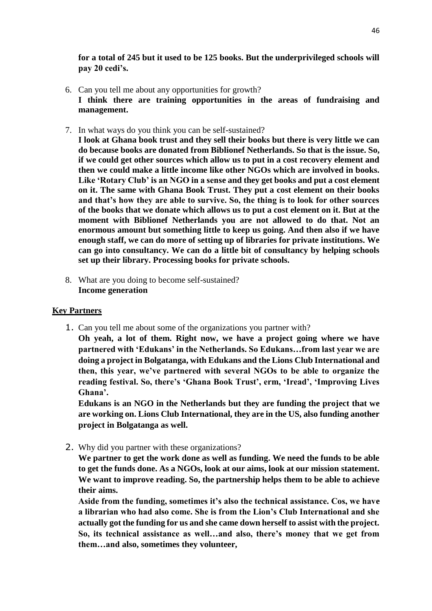**for a total of 245 but it used to be 125 books. But the underprivileged schools will pay 20 cedi's.**

- 6. Can you tell me about any opportunities for growth? **I think there are training opportunities in the areas of fundraising and management.**
- 7. In what ways do you think you can be self-sustained?

**I look at Ghana book trust and they sell their books but there is very little we can do because books are donated from Biblionef Netherlands. So that is the issue. So, if we could get other sources which allow us to put in a cost recovery element and then we could make a little income like other NGOs which are involved in books. Like 'Rotary Club' is an NGO in a sense and they get books and put a cost element on it. The same with Ghana Book Trust. They put a cost element on their books and that's how they are able to survive. So, the thing is to look for other sources of the books that we donate which allows us to put a cost element on it. But at the moment with Biblionef Netherlands you are not allowed to do that. Not an enormous amount but something little to keep us going. And then also if we have enough staff, we can do more of setting up of libraries for private institutions. We can go into consultancy. We can do a little bit of consultancy by helping schools set up their library. Processing books for private schools.**

8. What are you doing to become self-sustained? **Income generation**

#### **Key Partners**

1. Can you tell me about some of the organizations you partner with?

**Oh yeah, a lot of them. Right now, we have a project going where we have partnered with 'Edukans' in the Netherlands. So Edukans…from last year we are doing a project in Bolgatanga, with Edukans and the Lions Club International and then, this year, we've partnered with several NGOs to be able to organize the reading festival. So, there's 'Ghana Book Trust', erm, 'Iread', 'Improving Lives Ghana'.**

**Edukans is an NGO in the Netherlands but they are funding the project that we are working on. Lions Club International, they are in the US, also funding another project in Bolgatanga as well.** 

2. Why did you partner with these organizations?

**We partner to get the work done as well as funding. We need the funds to be able to get the funds done. As a NGOs, look at our aims, look at our mission statement. We want to improve reading. So, the partnership helps them to be able to achieve their aims.**

**Aside from the funding, sometimes it's also the technical assistance. Cos, we have a librarian who had also come. She is from the Lion's Club International and she actually got the funding for us and she came down herself to assist with the project. So, its technical assistance as well…and also, there's money that we get from them…and also, sometimes they volunteer,**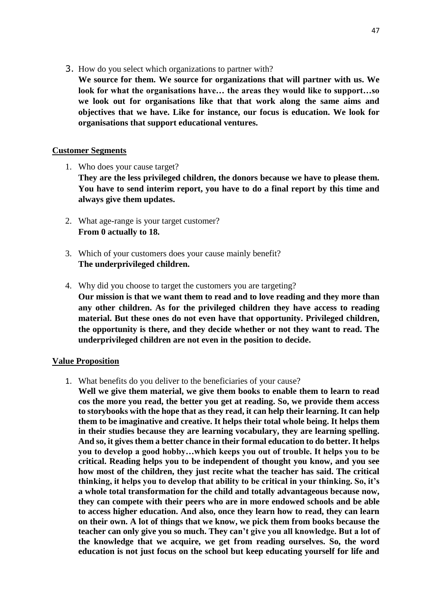3. How do you select which organizations to partner with?

**We source for them. We source for organizations that will partner with us. We look for what the organisations have… the areas they would like to support…so we look out for organisations like that that work along the same aims and objectives that we have. Like for instance, our focus is education. We look for organisations that support educational ventures.**

#### **Customer Segments**

1. Who does your cause target?

**They are the less privileged children, the donors because we have to please them. You have to send interim report, you have to do a final report by this time and always give them updates.**

- 2. What age-range is your target customer? **From 0 actually to 18.**
- 3. Which of your customers does your cause mainly benefit? **The underprivileged children.**
- 4. Why did you choose to target the customers you are targeting? **Our mission is that we want them to read and to love reading and they more than any other children. As for the privileged children they have access to reading material. But these ones do not even have that opportunity. Privileged children, the opportunity is there, and they decide whether or not they want to read. The underprivileged children are not even in the position to decide.**

#### **Value Proposition**

1. What benefits do you deliver to the beneficiaries of your cause?

**Well we give them material, we give them books to enable them to learn to read cos the more you read, the better you get at reading. So, we provide them access to storybooks with the hope that as they read, it can help their learning. It can help them to be imaginative and creative. It helps their total whole being. It helps them in their studies because they are learning vocabulary, they are learning spelling. And so, it gives them a better chance in their formal education to do better. It helps you to develop a good hobby…which keeps you out of trouble. It helps you to be critical. Reading helps you to be independent of thought you know, and you see how most of the children, they just recite what the teacher has said. The critical thinking, it helps you to develop that ability to be critical in your thinking. So, it's a whole total transformation for the child and totally advantageous because now, they can compete with their peers who are in more endowed schools and be able to access higher education. And also, once they learn how to read, they can learn on their own. A lot of things that we know, we pick them from books because the teacher can only give you so much. They can't give you all knowledge. But a lot of the knowledge that we acquire, we get from reading ourselves. So, the word education is not just focus on the school but keep educating yourself for life and**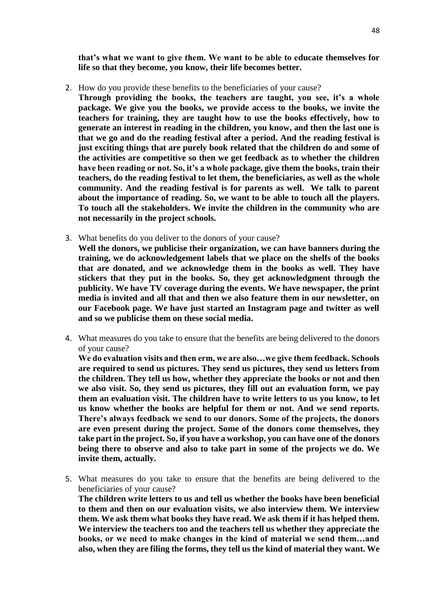**that's what we want to give them. We want to be able to educate themselves for life so that they become, you know, their life becomes better.**

2. How do you provide these benefits to the beneficiaries of your cause?

**Through providing the books, the teachers are taught, you see, it's a whole package. We give you the books, we provide access to the books, we invite the teachers for training, they are taught how to use the books effectively, how to generate an interest in reading in the children, you know, and then the last one is that we go and do the reading festival after a period. And the reading festival is just exciting things that are purely book related that the children do and some of the activities are competitive so then we get feedback as to whether the children have been reading or not. So, it's a whole package, give them the books, train their teachers, do the reading festival to let them, the beneficiaries, as well as the whole community. And the reading festival is for parents as well. We talk to parent about the importance of reading. So, we want to be able to touch all the players. To touch all the stakeholders. We invite the children in the community who are not necessarily in the project schools.**

- 3. What benefits do you deliver to the donors of your cause? **Well the donors, we publicise their organization, we can have banners during the training, we do acknowledgement labels that we place on the shelfs of the books that are donated, and we acknowledge them in the books as well. They have stickers that they put in the books. So, they get acknowledgment through the publicity. We have TV coverage during the events. We have newspaper, the print media is invited and all that and then we also feature them in our newsletter, on our Facebook page. We have just started an Instagram page and twitter as well and so we publicise them on these social media.**
- 4. What measures do you take to ensure that the benefits are being delivered to the donors of your cause?

**We do evaluation visits and then erm, we are also…we give them feedback. Schools are required to send us pictures. They send us pictures, they send us letters from the children. They tell us how, whether they appreciate the books or not and then we also visit. So, they send us pictures, they fill out an evaluation form, we pay them an evaluation visit. The children have to write letters to us you know, to let us know whether the books are helpful for them or not. And we send reports. There's always feedback we send to our donors. Some of the projects, the donors are even present during the project. Some of the donors come themselves, they take part in the project. So, if you have a workshop, you can have one of the donors being there to observe and also to take part in some of the projects we do. We invite them, actually.**

5. What measures do you take to ensure that the benefits are being delivered to the beneficiaries of your cause?

**The children write letters to us and tell us whether the books have been beneficial to them and then on our evaluation visits, we also interview them. We interview them. We ask them what books they have read. We ask them if it has helped them. We interview the teachers too and the teachers tell us whether they appreciate the books, or we need to make changes in the kind of material we send them…and also, when they are filing the forms, they tell us the kind of material they want. We**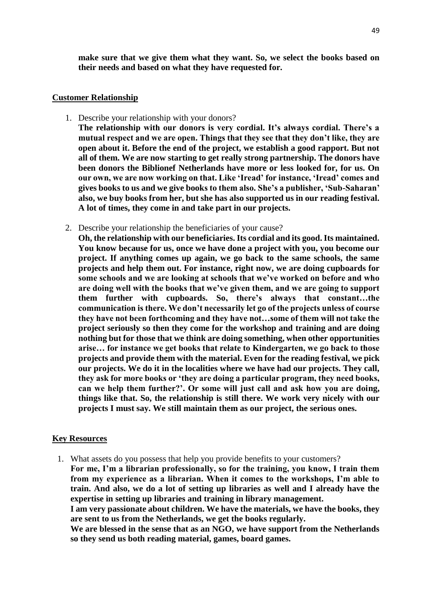**make sure that we give them what they want. So, we select the books based on their needs and based on what they have requested for.**

#### **Customer Relationship**

1. Describe your relationship with your donors?

**The relationship with our donors is very cordial. It's always cordial. There's a mutual respect and we are open. Things that they see that they don't like, they are open about it. Before the end of the project, we establish a good rapport. But not all of them. We are now starting to get really strong partnership. The donors have been donors the Biblionef Netherlands have more or less looked for, for us. On our own, we are now working on that. Like 'Iread' for instance, 'Iread' comes and gives books to us and we give books to them also. She's a publisher, 'Sub-Saharan' also, we buy books from her, but she has also supported us in our reading festival. A lot of times, they come in and take part in our projects.**

2. Describe your relationship the beneficiaries of your cause?

**Oh, the relationship with our beneficiaries. Its cordial and its good. Its maintained. You know because for us, once we have done a project with you, you become our project. If anything comes up again, we go back to the same schools, the same projects and help them out. For instance, right now, we are doing cupboards for some schools and we are looking at schools that we've worked on before and who are doing well with the books that we've given them, and we are going to support them further with cupboards. So, there's always that constant…the communication is there. We don't necessarily let go of the projects unless of course they have not been forthcoming and they have not…some of them will not take the project seriously so then they come for the workshop and training and are doing nothing but for those that we think are doing something, when other opportunities arise… for instance we get books that relate to Kindergarten, we go back to those projects and provide them with the material. Even for the reading festival, we pick our projects. We do it in the localities where we have had our projects. They call, they ask for more books or 'they are doing a particular program, they need books, can we help them further?'. Or some will just call and ask how you are doing, things like that. So, the relationship is still there. We work very nicely with our projects I must say. We still maintain them as our project, the serious ones.**

#### **Key Resources**

1. What assets do you possess that help you provide benefits to your customers? **For me, I'm a librarian professionally, so for the training, you know, I train them from my experience as a librarian. When it comes to the workshops, I'm able to train. And also, we do a lot of setting up libraries as well and I already have the expertise in setting up libraries and training in library management. I am very passionate about children. We have the materials, we have the books, they are sent to us from the Netherlands, we get the books regularly.**

**We are blessed in the sense that as an NGO, we have support from the Netherlands so they send us both reading material, games, board games.**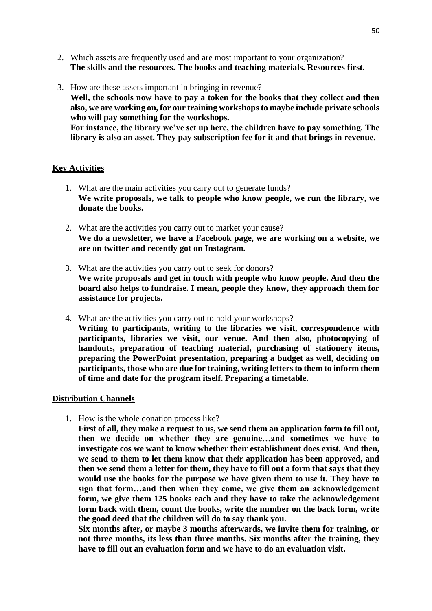- 2. Which assets are frequently used and are most important to your organization? **The skills and the resources. The books and teaching materials. Resources first.**
- 3. How are these assets important in bringing in revenue? **Well, the schools now have to pay a token for the books that they collect and then also, we are working on, for our training workshops to maybe include private schools who will pay something for the workshops. For instance, the library we've set up here, the children have to pay something. The library is also an asset. They pay subscription fee for it and that brings in revenue.**

#### **Key Activities**

- 1. What are the main activities you carry out to generate funds? **We write proposals, we talk to people who know people, we run the library, we donate the books.**
- 2. What are the activities you carry out to market your cause? **We do a newsletter, we have a Facebook page, we are working on a website, we are on twitter and recently got on Instagram.**
- 3. What are the activities you carry out to seek for donors? **We write proposals and get in touch with people who know people. And then the board also helps to fundraise. I mean, people they know, they approach them for assistance for projects.**
- 4. What are the activities you carry out to hold your workshops?

**Writing to participants, writing to the libraries we visit, correspondence with participants, libraries we visit, our venue. And then also, photocopying of handouts, preparation of teaching material, purchasing of stationery items, preparing the PowerPoint presentation, preparing a budget as well, deciding on participants, those who are due for training, writing letters to them to inform them of time and date for the program itself. Preparing a timetable.**

#### **Distribution Channels**

1. How is the whole donation process like?

**First of all, they make a request to us, we send them an application form to fill out, then we decide on whether they are genuine…and sometimes we have to investigate cos we want to know whether their establishment does exist. And then, we send to them to let them know that their application has been approved, and then we send them a letter for them, they have to fill out a form that says that they would use the books for the purpose we have given them to use it. They have to sign that form…and then when they come, we give them an acknowledgement form, we give them 125 books each and they have to take the acknowledgement form back with them, count the books, write the number on the back form, write the good deed that the children will do to say thank you.**

**Six months after, or maybe 3 months afterwards, we invite them for training, or not three months, its less than three months. Six months after the training, they have to fill out an evaluation form and we have to do an evaluation visit.**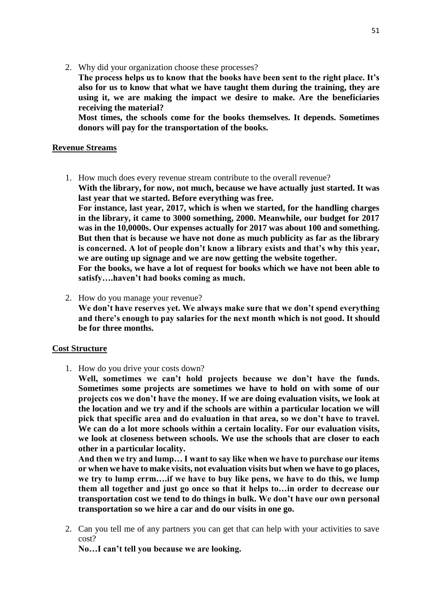2. Why did your organization choose these processes?

**The process helps us to know that the books have been sent to the right place. It's also for us to know that what we have taught them during the training, they are using it, we are making the impact we desire to make. Are the beneficiaries receiving the material?**

**Most times, the schools come for the books themselves. It depends. Sometimes donors will pay for the transportation of the books.**

#### **Revenue Streams**

1. How much does every revenue stream contribute to the overall revenue? **With the library, for now, not much, because we have actually just started. It was last year that we started. Before everything was free. For instance, last year, 2017, which is when we started, for the handling charges** 

**in the library, it came to 3000 something, 2000. Meanwhile, our budget for 2017 was in the 10,0000s. Our expenses actually for 2017 was about 100 and something. But then that is because we have not done as much publicity as far as the library is concerned. A lot of people don't know a library exists and that's why this year, we are outing up signage and we are now getting the website together.**

**For the books, we have a lot of request for books which we have not been able to satisfy….haven't had books coming as much.**

2. How do you manage your revenue? **We don't have reserves yet. We always make sure that we don't spend everything and there's enough to pay salaries for the next month which is not good. It should be for three months.**

#### **Cost Structure**

1. How do you drive your costs down?

**Well, sometimes we can't hold projects because we don't have the funds. Sometimes some projects are sometimes we have to hold on with some of our projects cos we don't have the money. If we are doing evaluation visits, we look at the location and we try and if the schools are within a particular location we will pick that specific area and do evaluation in that area, so we don't have to travel. We can do a lot more schools within a certain locality. For our evaluation visits, we look at closeness between schools. We use the schools that are closer to each other in a particular locality.**

**And then we try and lump… I want to say like when we have to purchase our items or when we have to make visits, not evaluation visits but when we have to go places, we try to lump errm….if we have to buy like pens, we have to do this, we lump them all together and just go once so that it helps to…in order to decrease our transportation cost we tend to do things in bulk. We don't have our own personal transportation so we hire a car and do our visits in one go.**

2. Can you tell me of any partners you can get that can help with your activities to save cost?

**No…I can't tell you because we are looking.**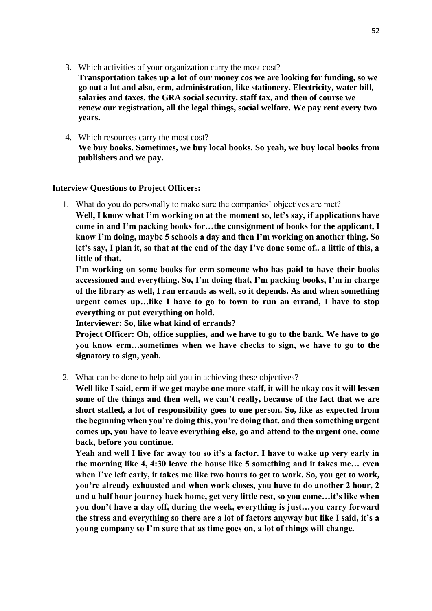3. Which activities of your organization carry the most cost?

**Transportation takes up a lot of our money cos we are looking for funding, so we go out a lot and also, erm, administration, like stationery. Electricity, water bill, salaries and taxes, the GRA social security, staff tax, and then of course we renew our registration, all the legal things, social welfare. We pay rent every two years.**

4. Which resources carry the most cost? **We buy books. Sometimes, we buy local books. So yeah, we buy local books from publishers and we pay.**

#### **Interview Questions to Project Officers:**

1. What do you do personally to make sure the companies' objectives are met?

**Well, I know what I'm working on at the moment so, let's say, if applications have come in and I'm packing books for…the consignment of books for the applicant, I know I'm doing, maybe 5 schools a day and then I'm working on another thing. So let's say, I plan it, so that at the end of the day I've done some of.. a little of this, a little of that.**

**I'm working on some books for erm someone who has paid to have their books accessioned and everything. So, I'm doing that, I'm packing books, I'm in charge of the library as well, I ran errands as well, so it depends. As and when something urgent comes up…like I have to go to town to run an errand, I have to stop everything or put everything on hold.**

**Interviewer: So, like what kind of errands?**

**Project Officer: Oh, office supplies, and we have to go to the bank. We have to go you know erm…sometimes when we have checks to sign, we have to go to the signatory to sign, yeah.**

2. What can be done to help aid you in achieving these objectives?

**Well like I said, erm if we get maybe one more staff, it will be okay cos it will lessen some of the things and then well, we can't really, because of the fact that we are short staffed, a lot of responsibility goes to one person. So, like as expected from the beginning when you're doing this, you're doing that, and then something urgent comes up, you have to leave everything else, go and attend to the urgent one, come back, before you continue.**

**Yeah and well I live far away too so it's a factor. I have to wake up very early in the morning like 4, 4:30 leave the house like 5 something and it takes me… even when I've left early, it takes me like two hours to get to work. So, you get to work, you're already exhausted and when work closes, you have to do another 2 hour, 2 and a half hour journey back home, get very little rest, so you come…it's like when you don't have a day off, during the week, everything is just…you carry forward the stress and everything so there are a lot of factors anyway but like I said, it's a young company so I'm sure that as time goes on, a lot of things will change.**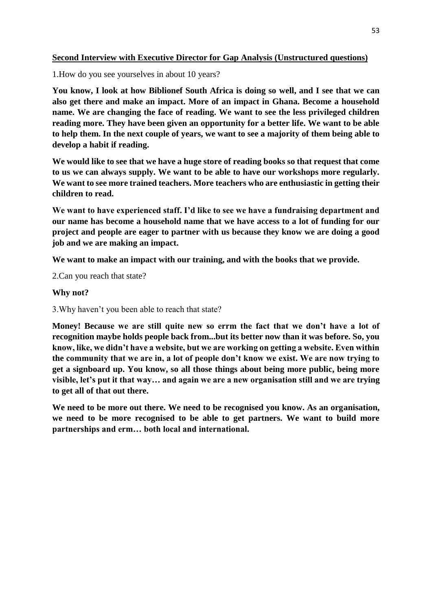# **Second Interview with Executive Director for Gap Analysis (Unstructured questions)**

1.How do you see yourselves in about 10 years?

**You know, I look at how Biblionef South Africa is doing so well, and I see that we can also get there and make an impact. More of an impact in Ghana. Become a household name. We are changing the face of reading. We want to see the less privileged children reading more. They have been given an opportunity for a better life. We want to be able to help them. In the next couple of years, we want to see a majority of them being able to develop a habit if reading.** 

**We would like to see that we have a huge store of reading books so that request that come to us we can always supply. We want to be able to have our workshops more regularly. We want to see more trained teachers. More teachers who are enthusiastic in getting their children to read.**

**We want to have experienced staff. I'd like to see we have a fundraising department and our name has become a household name that we have access to a lot of funding for our project and people are eager to partner with us because they know we are doing a good job and we are making an impact.** 

**We want to make an impact with our training, and with the books that we provide.**

2.Can you reach that state?

### **Why not?**

3.Why haven't you been able to reach that state?

**Money! Because we are still quite new so errm the fact that we don't have a lot of recognition maybe holds people back from...but its better now than it was before. So, you know, like, we didn't have a website, but we are working on getting a website. Even within the community that we are in, a lot of people don't know we exist. We are now trying to get a signboard up. You know, so all those things about being more public, being more visible, let's put it that way… and again we are a new organisation still and we are trying to get all of that out there.**

**We need to be more out there. We need to be recognised you know. As an organisation, we need to be more recognised to be able to get partners. We want to build more partnerships and erm… both local and international.**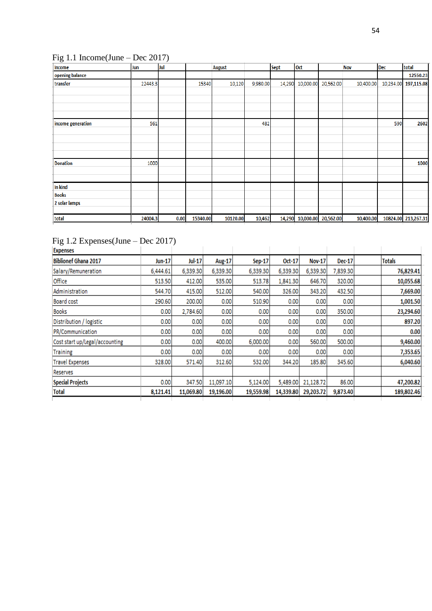# <span id="page-54-0"></span>Fig 1.1 Income(June – Dec 2017)

| Income            | Jun     | Jul  |          | <b>August</b> |          | <b>Sept</b> | Oct                        |           | <b>Nov</b> | Dec       | total               |
|-------------------|---------|------|----------|---------------|----------|-------------|----------------------------|-----------|------------|-----------|---------------------|
| opening balance   |         |      |          |               |          |             |                            |           |            |           | 12550.23            |
| transfer          | 22443.3 |      | 15340    | 10,120        | 9,980.00 | 14,290      | 10,000.00                  | 20,562.00 | 10,400.00  | 10,234.00 | 197,115.08          |
|                   |         |      |          |               |          |             |                            |           |            |           |                     |
|                   |         |      |          |               |          |             |                            |           |            |           |                     |
|                   |         |      |          |               |          |             |                            |           |            |           |                     |
|                   |         |      |          |               |          |             |                            |           |            |           |                     |
| income generation | 561     |      |          |               | 482      |             |                            |           |            | 590       | 2602                |
|                   |         |      |          |               |          |             |                            |           |            |           |                     |
|                   |         |      |          |               |          |             |                            |           |            |           |                     |
|                   |         |      |          |               |          |             |                            |           |            |           |                     |
|                   |         |      |          |               |          |             |                            |           |            |           |                     |
| <b>Donation</b>   | 1000    |      |          |               |          |             |                            |           |            |           | 1000                |
|                   |         |      |          |               |          |             |                            |           |            |           |                     |
|                   |         |      |          |               |          |             |                            |           |            |           |                     |
| In kind           |         |      |          |               |          |             |                            |           |            |           |                     |
| <b>Books</b>      |         |      |          |               |          |             |                            |           |            |           |                     |
| 2 solar lamps     |         |      |          |               |          |             |                            |           |            |           |                     |
|                   |         |      |          |               |          |             |                            |           |            |           |                     |
| total             | 24004.3 | 0.00 | 15340.00 | 10120.00      | 10,462   |             | 14,290 10,000.00 20,562.00 |           | 10,400.00  |           | 10824.00 213,267.31 |

# <span id="page-54-1"></span>Fig 1.2 Expenses(June – Dec 2017)

| <b>Expenses</b>                |               |               |           |               |           |               |          |               |
|--------------------------------|---------------|---------------|-----------|---------------|-----------|---------------|----------|---------------|
| <b>Biblionef Ghana 2017</b>    | <b>Jun-17</b> | <b>Jul-17</b> | Aug-17    | <b>Sep-17</b> | Oct-17    | <b>Nov-17</b> | Dec-17   | <b>Totals</b> |
| Salary/Remuneration            | 6,444.61      | 6,339.30      | 6,339.30  | 6,339.30      | 6,339.30  | 6,339.30      | 7,839.30 | 76,829.41     |
| Office                         | 513.50        | 412.00        | 535.00    | 513.78        | 1,841.30  | 646.70        | 320.00   | 10,055.68     |
| Administration                 | 544.70        | 415.00        | 512.00    | 540.00        | 326.00    | 343.20        | 432.50   | 7,669.00      |
| Board cost                     | 290.60        | 200.00        | 0.00      | 510.90        | 0.00      | 0.00          | 0.00     | 1,001.50      |
| <b>Books</b>                   | 0.00          | 2,784.60      | 0.00      | 0.00          | 0.00      | 0.00          | 350.00   | 23,294.60     |
| Distribution / logistic        | 0.00          | 0.00          | 0.00      | 0.00          | 0.00      | 0.00          | 0.00     | 897.20        |
| PR/Communication               | 0.00          | 0.00          | 0.00      | 0.00          | 0.00      | 0.00          | 0.00     | 0.00          |
| Cost start up/Legal/accounting | 0.00          | 0.00          | 400.00    | 6,000.00      | 0.00      | 560.00        | 500.00   | 9,460.00      |
| <b>Training</b>                | 0.00          | 0.00          | 0.00      | 0.00          | 0.00      | 0.00          | 0.00     | 7,353.65      |
| <b>Travel Expenses</b>         | 328.00        | 571.40        | 312.60    | 532.00        | 344.20    | 185.80        | 345.60   | 6,040.60      |
| Reserves                       |               |               |           |               |           |               |          |               |
| <b>Special Projects</b>        | 0.00          | 347.50        | 11,097.10 | 5,124.00      | 5,489.00  | 21,128.72     | 86.00    | 47,200.82     |
| <b>Total</b>                   | 8,121.41      | 11,069.80     | 19,196.00 | 19,559.98     | 14,339.80 | 29,203.72     | 9,873.40 | 189,802.46    |